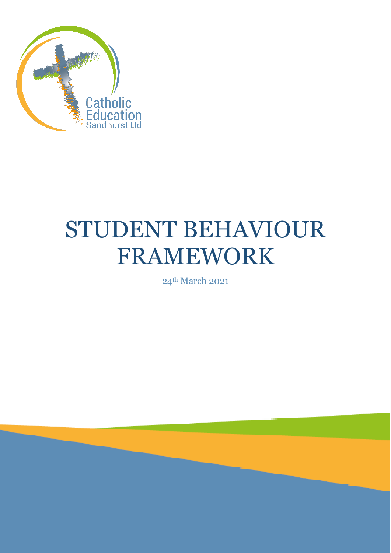

# STUDENT BEHAVIOUR FRAMEWORK

24th March 2021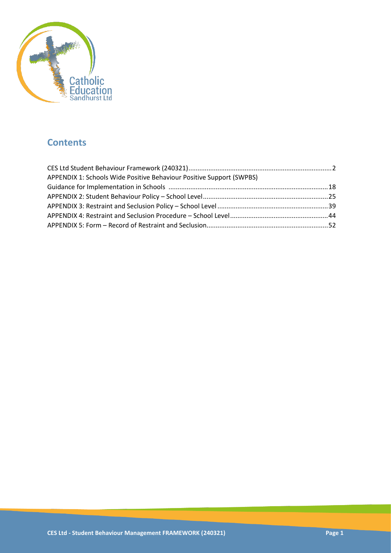

## **Contents**

| APPENDIX 1: Schools Wide Positive Behaviour Positive Support (SWPBS) |  |
|----------------------------------------------------------------------|--|
|                                                                      |  |
|                                                                      |  |
|                                                                      |  |
|                                                                      |  |
|                                                                      |  |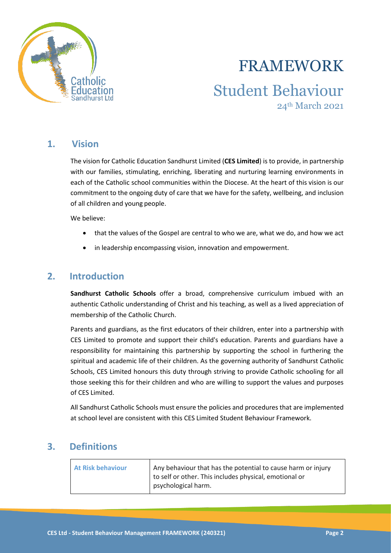

# FRAMEWORK Student Behaviour 24th March 2021

### **1. Vision**

The vision for Catholic Education Sandhurst Limited (**CES Limited**) is to provide, in partnership with our families, stimulating, enriching, liberating and nurturing learning environments in each of the Catholic school communities within the Diocese. At the heart of this vision is our commitment to the ongoing duty of care that we have for the safety, wellbeing, and inclusion of all children and young people.

We believe:

- that the values of the Gospel are central to who we are, what we do, and how we act
- in leadership encompassing vision, innovation and empowerment.

### **2. Introduction**

**Sandhurst Catholic Schools** offer a broad, comprehensive curriculum imbued with an authentic Catholic understanding of Christ and his teaching, as well as a lived appreciation of membership of the Catholic Church.

Parents and guardians, as the first educators of their children, enter into a partnership with CES Limited to promote and support their child's education. Parents and guardians have a responsibility for maintaining this partnership by supporting the school in furthering the spiritual and academic life of their children. As the governing authority of Sandhurst Catholic Schools, CES Limited honours this duty through striving to provide Catholic schooling for all those seeking this for their children and who are willing to support the values and purposes of CES Limited.

All Sandhurst Catholic Schools must ensure the policies and procedures that are implemented at school level are consistent with this CES Limited Student Behaviour Framework.

### **3. Definitions**

| <b>At Risk behaviour</b> | Any behaviour that has the potential to cause harm or injury<br>to self or other. This includes physical, emotional or<br>psychological harm. |
|--------------------------|-----------------------------------------------------------------------------------------------------------------------------------------------|
|                          |                                                                                                                                               |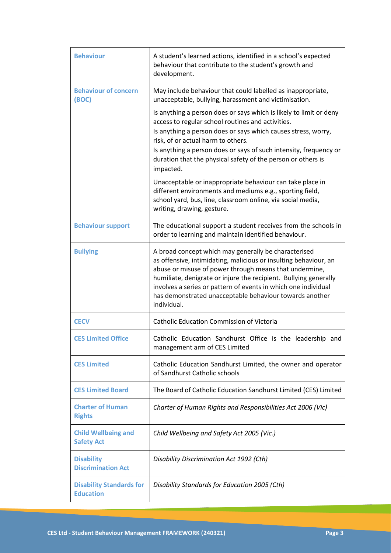| <b>Behaviour</b>                                    | A student's learned actions, identified in a school's expected<br>behaviour that contribute to the student's growth and<br>development.                                                                                                                                                                                                                                                            |
|-----------------------------------------------------|----------------------------------------------------------------------------------------------------------------------------------------------------------------------------------------------------------------------------------------------------------------------------------------------------------------------------------------------------------------------------------------------------|
| <b>Behaviour of concern</b><br>(BOC)                | May include behaviour that could labelled as inappropriate,<br>unacceptable, bullying, harassment and victimisation.                                                                                                                                                                                                                                                                               |
|                                                     | Is anything a person does or says which is likely to limit or deny<br>access to regular school routines and activities.<br>Is anything a person does or says which causes stress, worry,<br>risk, of or actual harm to others.<br>Is anything a person does or says of such intensity, frequency or<br>duration that the physical safety of the person or others is<br>impacted.                   |
|                                                     | Unacceptable or inappropriate behaviour can take place in<br>different environments and mediums e.g., sporting field,<br>school yard, bus, line, classroom online, via social media,<br>writing, drawing, gesture.                                                                                                                                                                                 |
| <b>Behaviour support</b>                            | The educational support a student receives from the schools in<br>order to learning and maintain identified behaviour.                                                                                                                                                                                                                                                                             |
| <b>Bullying</b>                                     | A broad concept which may generally be characterised<br>as offensive, intimidating, malicious or insulting behaviour, an<br>abuse or misuse of power through means that undermine,<br>humiliate, denigrate or injure the recipient. Bullying generally<br>involves a series or pattern of events in which one individual<br>has demonstrated unacceptable behaviour towards another<br>individual. |
| <b>CECV</b>                                         | <b>Catholic Education Commission of Victoria</b>                                                                                                                                                                                                                                                                                                                                                   |
| <b>CES Limited Office</b>                           | Catholic Education Sandhurst Office is the leadership and<br>management arm of CES Limited                                                                                                                                                                                                                                                                                                         |
| <b>CES Limited</b>                                  | Catholic Education Sandhurst Limited, the owner and operator<br>of Sandhurst Catholic schools                                                                                                                                                                                                                                                                                                      |
| <b>CES Limited Board</b>                            | The Board of Catholic Education Sandhurst Limited (CES) Limited                                                                                                                                                                                                                                                                                                                                    |
| <b>Charter of Human</b><br><b>Rights</b>            | Charter of Human Rights and Responsibilities Act 2006 (Vic)                                                                                                                                                                                                                                                                                                                                        |
| <b>Child Wellbeing and</b><br><b>Safety Act</b>     | Child Wellbeing and Safety Act 2005 (Vic.)                                                                                                                                                                                                                                                                                                                                                         |
| <b>Disability</b><br><b>Discrimination Act</b>      | Disability Discrimination Act 1992 (Cth)                                                                                                                                                                                                                                                                                                                                                           |
| <b>Disability Standards for</b><br><b>Education</b> | Disability Standards for Education 2005 (Cth)                                                                                                                                                                                                                                                                                                                                                      |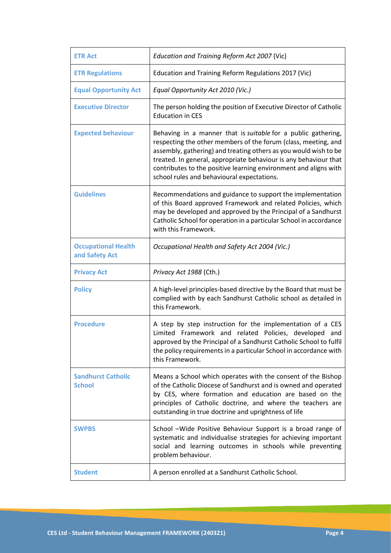| <b>ETR Act</b>                               | Education and Training Reform Act 2007 (Vic)                                                                                                                                                                                                                                                                                                                                              |
|----------------------------------------------|-------------------------------------------------------------------------------------------------------------------------------------------------------------------------------------------------------------------------------------------------------------------------------------------------------------------------------------------------------------------------------------------|
| <b>ETR Regulations</b>                       | Education and Training Reform Regulations 2017 (Vic)                                                                                                                                                                                                                                                                                                                                      |
| <b>Equal Opportunity Act</b>                 | Equal Opportunity Act 2010 (Vic.)                                                                                                                                                                                                                                                                                                                                                         |
| <b>Executive Director</b>                    | The person holding the position of Executive Director of Catholic<br><b>Education in CES</b>                                                                                                                                                                                                                                                                                              |
| <b>Expected behaviour</b>                    | Behaving in a manner that is suitable for a public gathering,<br>respecting the other members of the forum (class, meeting, and<br>assembly, gathering) and treating others as you would wish to be<br>treated. In general, appropriate behaviour is any behaviour that<br>contributes to the positive learning environment and aligns with<br>school rules and behavioural expectations. |
| <b>Guidelines</b>                            | Recommendations and guidance to support the implementation<br>of this Board approved Framework and related Policies, which<br>may be developed and approved by the Principal of a Sandhurst<br>Catholic School for operation in a particular School in accordance<br>with this Framework.                                                                                                 |
| <b>Occupational Health</b><br>and Safety Act | Occupational Health and Safety Act 2004 (Vic.)                                                                                                                                                                                                                                                                                                                                            |
|                                              |                                                                                                                                                                                                                                                                                                                                                                                           |
| <b>Privacy Act</b>                           | Privacy Act 1988 (Cth.)                                                                                                                                                                                                                                                                                                                                                                   |
| <b>Policy</b>                                | A high-level principles-based directive by the Board that must be<br>complied with by each Sandhurst Catholic school as detailed in<br>this Framework.                                                                                                                                                                                                                                    |
| <b>Procedure</b>                             | A step by step instruction for the implementation of a CES<br>Limited Framework and related Policies, developed<br>and<br>approved by the Principal of a Sandhurst Catholic School to fulfil<br>the policy requirements in a particular School in accordance with<br>this Framework.                                                                                                      |
| <b>Sandhurst Catholic</b><br><b>School</b>   | Means a School which operates with the consent of the Bishop<br>of the Catholic Diocese of Sandhurst and is owned and operated<br>by CES, where formation and education are based on the<br>principles of Catholic doctrine, and where the teachers are<br>outstanding in true doctrine and uprightness of life                                                                           |
| <b>SWPBS</b>                                 | School -Wide Positive Behaviour Support is a broad range of<br>systematic and individualise strategies for achieving important<br>social and learning outcomes in schools while preventing<br>problem behaviour.                                                                                                                                                                          |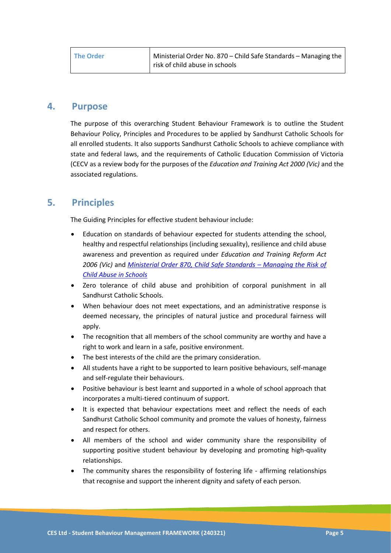| <b>The Order</b> | Ministerial Order No. 870 – Child Safe Standards – Managing the |
|------------------|-----------------------------------------------------------------|
|                  | risk of child abuse in schools                                  |

### **4. Purpose**

The purpose of this overarching Student Behaviour Framework is to outline the Student Behaviour Policy, Principles and Procedures to be applied by Sandhurst Catholic Schools for all enrolled students. It also supports Sandhurst Catholic Schools to achieve compliance with state and federal laws, and the requirements of Catholic Education Commission of Victoria (CECV as a review body for the purposes of the *Education and Training Act 2000 (Vic)* and the associated regulations.

### **5. Principles**

The Guiding Principles for effective student behaviour include:

- Education on standards of behaviour expected for students attending the school, healthy and respectful relationships (including sexuality), resilience and child abuse awareness and prevention as required under *Education and Training Reform Act 2006 (Vic)* and *[Ministerial Order 870, Child Safe Standards](https://www.vrqa.vic.gov.au/childsafe/Pages/documents/Min%20Order%20870%20Child%20Safe%20Standards.pdf) – Managing the Risk of [Child Abuse in Schools](https://www.vrqa.vic.gov.au/childsafe/Pages/documents/Min%20Order%20870%20Child%20Safe%20Standards.pdf)*
- Zero tolerance of child abuse and prohibition of corporal punishment in all Sandhurst Catholic Schools.
- When behaviour does not meet expectations, and an administrative response is deemed necessary, the principles of natural justice and procedural fairness will apply.
- The recognition that all members of the school community are worthy and have a right to work and learn in a safe, positive environment.
- The best interests of the child are the primary consideration.
- All students have a right to be supported to learn positive behaviours, self-manage and self-regulate their behaviours.
- Positive behaviour is best learnt and supported in a whole of school approach that incorporates a multi-tiered continuum of support.
- It is expected that behaviour expectations meet and reflect the needs of each Sandhurst Catholic School community and promote the values of honesty, fairness and respect for others.
- All members of the school and wider community share the responsibility of supporting positive student behaviour by developing and promoting high-quality relationships.
- The community shares the responsibility of fostering life affirming relationships that recognise and support the inherent dignity and safety of each person.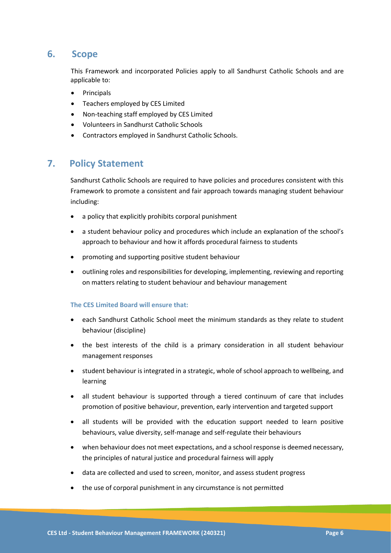### **6. Scope**

This Framework and incorporated Policies apply to all Sandhurst Catholic Schools and are applicable to:

- Principals
- Teachers employed by CES Limited
- Non-teaching staff employed by CES Limited
- Volunteers in Sandhurst Catholic Schools
- Contractors employed in Sandhurst Catholic Schools.

### **7. Policy Statement**

Sandhurst Catholic Schools are required to have policies and procedures consistent with this Framework to promote a consistent and fair approach towards managing student behaviour including:

- a policy that explicitly prohibits corporal punishment
- a student behaviour policy and procedures which include an explanation of the school's approach to behaviour and how it affords procedural fairness to students
- promoting and supporting positive student behaviour
- outlining roles and responsibilities for developing, implementing, reviewing and reporting on matters relating to student behaviour and behaviour management

### **The CES Limited Board will ensure that:**

- each Sandhurst Catholic School meet the minimum standards as they relate to student behaviour (discipline)
- the best interests of the child is a primary consideration in all student behaviour management responses
- student behaviour is integrated in a strategic, whole of school approach to wellbeing, and learning
- all student behaviour is supported through a tiered continuum of care that includes promotion of positive behaviour, prevention, early intervention and targeted support
- all students will be provided with the education support needed to learn positive behaviours, value diversity, self-manage and self-regulate their behaviours
- when behaviour does not meet expectations, and a school response is deemed necessary, the principles of natural justice and procedural fairness will apply
- data are collected and used to screen, monitor, and assess student progress
- the use of corporal punishment in any circumstance is not permitted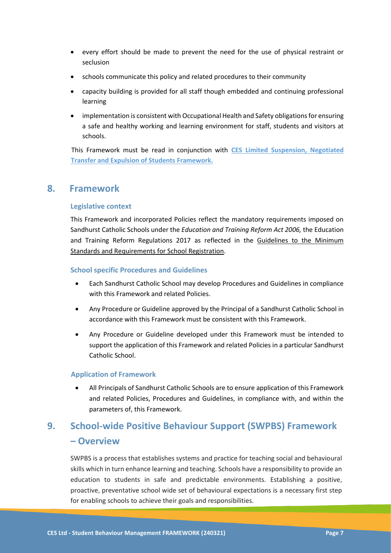- every effort should be made to prevent the need for the use of physical restraint or seclusion
- schools communicate this policy and related procedures to their community
- capacity building is provided for all staff though embedded and continuing professional learning
- implementation is consistent with Occupational Health and Safety obligations for ensuring a safe and healthy working and learning environment for staff, students and visitors at schools.

This Framework must be read in conjunction with **CES Limited Suspension, Negotiated Transfer and Expulsion of Students Framework.**

### **8. Framework**

### **Legislative context**

This Framework and incorporated Policies reflect the mandatory requirements imposed on Sandhurst Catholic Schools under the *Education and Training Reform Act 2006,* the Education and Training Reform Regulations 2017 as reflected in the [Guidelines to the Minimum](https://www.vrqa.vic.gov.au/Documents/schoolstandards.docx)  [Standards and Requirements for School Registration.](https://www.vrqa.vic.gov.au/Documents/schoolstandards.docx)

### **School specific Procedures and Guidelines**

- Each Sandhurst Catholic School may develop Procedures and Guidelines in compliance with this Framework and related Policies.
- Any Procedure or Guideline approved by the Principal of a Sandhurst Catholic School in accordance with this Framework must be consistent with this Framework.
- Any Procedure or Guideline developed under this Framework must be intended to support the application of this Framework and related Policies in a particular Sandhurst Catholic School.

### **Application of Framework**

• All Principals of Sandhurst Catholic Schools are to ensure application of this Framework and related Policies, Procedures and Guidelines, in compliance with, and within the parameters of, this Framework.

# **9. School-wide Positive Behaviour Support (SWPBS) Framework – Overview**

SWPBS is a process that establishes systems and practice for teaching social and behavioural skills which in turn enhance learning and teaching. Schools have a responsibility to provide an education to students in safe and predictable environments. Establishing a positive, proactive, preventative school wide set of behavioural expectations is a necessary first step for enabling schools to achieve their goals and responsibilities.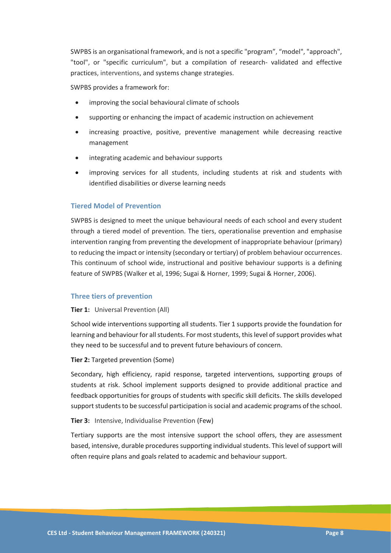SWPBS is an organisational framework, and is not a specific "program", "model", "approach", "tool", or "specific curriculum", but a compilation of research- validated and effective practices, interventions, and systems change strategies.

SWPBS provides a framework for:

- improving the social behavioural climate of schools
- supporting or enhancing the impact of academic instruction on achievement
- increasing proactive, positive, preventive management while decreasing reactive management
- integrating academic and behaviour supports
- improving services for all students, including students at risk and students with identified disabilities or diverse learning needs

#### **Tiered Model of Prevention**

SWPBS is designed to meet the unique behavioural needs of each school and every student through a tiered model of prevention. The tiers, operationalise prevention and emphasise intervention ranging from preventing the development of inappropriate behaviour (primary) to reducing the impact or intensity (secondary or tertiary) of problem behaviour occurrences. This continuum of school wide, instructional and positive behaviour supports is a defining feature of SWPBS (Walker et al, 1996; Sugai & Horner, 1999; Sugai & Horner, 2006).

#### **Three tiers of prevention**

#### **Tier 1:** Universal Prevention (All)

School wide interventions supporting all students. Tier 1 supports provide the foundation for learning and behaviour for all students. For most students, thislevel of support provides what they need to be successful and to prevent future behaviours of concern.

#### **Tier 2:** Targeted prevention (Some)

Secondary, high efficiency, rapid response, targeted interventions, supporting groups of students at risk. School implement supports designed to provide additional practice and feedback opportunities for groups of students with specific skill deficits. The skills developed support students to be successful participation is social and academic programs of the school.

#### **Tier 3:** Intensive, Individualise Prevention (Few)

Tertiary supports are the most intensive support the school offers, they are assessment based, intensive, durable procedures supporting individual students. This level of support will often require plans and goals related to academic and behaviour support.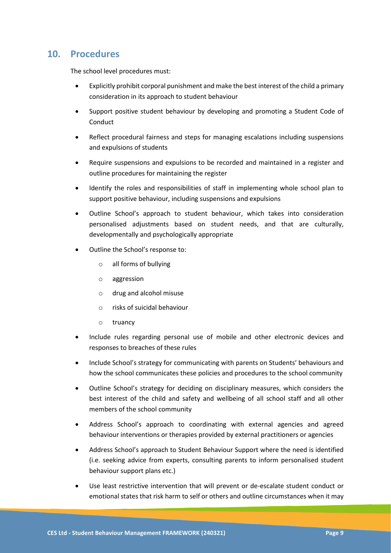### **10. Procedures**

The school level procedures must:

- Explicitly prohibit corporal punishment and make the best interest of the child a primary consideration in its approach to student behaviour
- Support positive student behaviour by developing and promoting a Student Code of Conduct
- Reflect procedural fairness and steps for managing escalations including suspensions and expulsions of students
- Require suspensions and expulsions to be recorded and maintained in a register and outline procedures for maintaining the register
- Identify the roles and responsibilities of staff in implementing whole school plan to support positive behaviour, including suspensions and expulsions
- Outline School's approach to student behaviour, which takes into consideration personalised adjustments based on student needs, and that are culturally, developmentally and psychologically appropriate
- Outline the School's response to:
	- o all forms of bullying
	- o aggression
	- o drug and alcohol misuse
	- o risks of suicidal behaviour
	- o truancy
- Include rules regarding personal use of mobile and other electronic devices and responses to breaches of these rules
- Include School's strategy for communicating with parents on Students' behaviours and how the school communicates these policies and procedures to the school community
- Outline School's strategy for deciding on disciplinary measures, which considers the best interest of the child and safety and wellbeing of all school staff and all other members of the school community
- Address School's approach to coordinating with external agencies and agreed behaviour interventions or therapies provided by external practitioners or agencies
- Address School's approach to Student Behaviour Support where the need is identified (i.e. seeking advice from experts, consulting parents to inform personalised student behaviour support plans etc.)
- Use least restrictive intervention that will prevent or de-escalate student conduct or emotional states that risk harm to self or others and outline circumstances when it may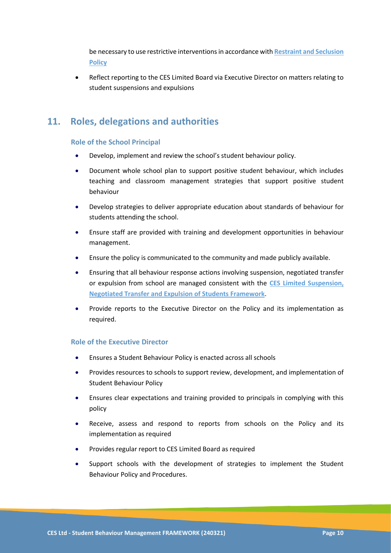be necessary to use restrictive interventionsin accordance with **Restraint and Seclusion Policy**

• Reflect reporting to the CES Limited Board via Executive Director on matters relating to student suspensions and expulsions

### **11. Roles, delegations and authorities**

### **Role of the School Principal**

- Develop, implement and review the school's student behaviour policy.
- Document whole school plan to support positive student behaviour, which includes teaching and classroom management strategies that support positive student behaviour
- Develop strategies to deliver appropriate education about standards of behaviour for students attending the school.
- Ensure staff are provided with training and development opportunities in behaviour management.
- Ensure the policy is communicated to the community and made publicly available.
- Ensuring that all behaviour response actions involving suspension, negotiated transfer or expulsion from school are managed consistent with the **CES Limited Suspension, Negotiated Transfer and Expulsion of Students Framework**.
- Provide reports to the Executive Director on the Policy and its implementation as required.

### **Role of the Executive Director**

- Ensures a Student Behaviour Policy is enacted across all schools
- Provides resources to schools to support review, development, and implementation of Student Behaviour Policy
- Ensures clear expectations and training provided to principals in complying with this policy
- Receive, assess and respond to reports from schools on the Policy and its implementation as required
- Provides regular report to CES Limited Board as required
- Support schools with the development of strategies to implement the Student Behaviour Policy and Procedures.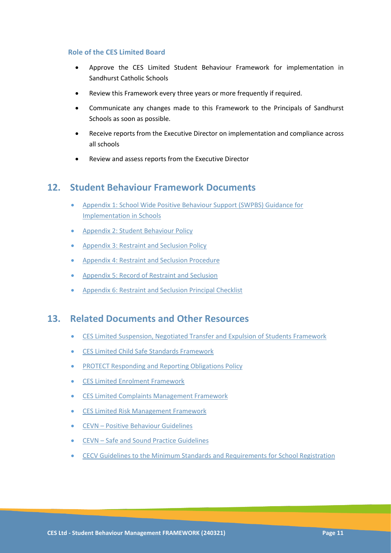### **Role of the CES Limited Board**

- Approve the CES Limited Student Behaviour Framework for implementation in Sandhurst Catholic Schools
- Review this Framework every three years or more frequently if required.
- Communicate any changes made to this Framework to the Principals of Sandhurst Schools as soon as possible.
- Receive reports from the Executive Director on implementation and compliance across all schools
- Review and assess reports from the Executive Director

### **12. Student Behaviour Framework Documents**

- Appendix 1: School Wide Positive Behaviour Support (SWPBS) Guidance for Implementation in Schools
- Appendix 2: Student Behaviour Policy
- Appendix 3: Restraint and Seclusion Policy
- Appendix 4: Restraint and Seclusion Procedure
- Appendix 5: Record of Restraint and Seclusion
- Appendix 6: Restraint and Seclusion Principal Checklist

### **13. Related Documents and Other Resources**

- CES Limited Suspension, Negotiated Transfer and Expulsion of Students Framework
- CES Limited Child Safe Standards Framework
- PROTECT Responding and Reporting Obligations Policy
- CES Limited Enrolment Framework
- CES Limited Complaints Management Framework
- CES Limited Risk Management Framework
- CEVN [Positive Behaviour Guidelines](https://www.cecv.catholic.edu.au/getmedia/bc1d235d-9a98-4bb4-b3ac-84b50fa7c639/CECV-Positive-Behaviour-Guidelines_FINAL2.aspx?ext=.pdf)
- CEVN [Safe and Sound Practice Guidelines](https://www.cecv.catholic.edu.au/getmedia/bad5e328-b5f9-4742-a66c-0c7f20ae21ff/Safe-and-Sound-Practice-Guidelines.aspx)
- [CECV Guidelines to the Minimum Standards](https://www.vrqa.vic.gov.au/schools/Pages/standards-guidelines-requirements-for-schools.aspx) and Requirements for School Registration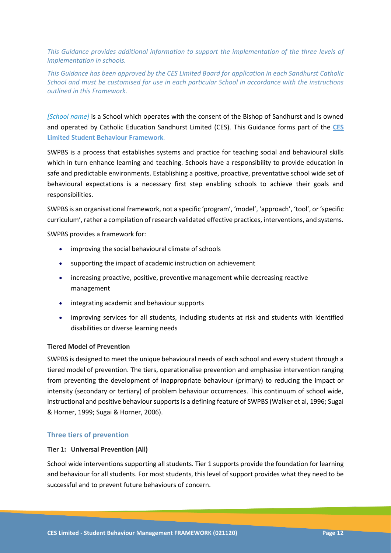*This Guidance provides additional information to support the implementation of the three levels of implementation in schools.*

*This Guidance has been approved by the CES Limited Board for application in each Sandhurst Catholic School and must be customised for use in each particular School in accordance with the instructions outlined in this Framework.*

*[School name]* is a School which operates with the consent of the Bishop of Sandhurst and is owned and operated by Catholic Education Sandhurst Limited (CES). This Guidance forms part of the **CES Limited Student Behaviour Framework***.*

SWPBS is a process that establishes systems and practice for teaching social and behavioural skills which in turn enhance learning and teaching. Schools have a responsibility to provide education in safe and predictable environments. Establishing a positive, proactive, preventative school wide set of behavioural expectations is a necessary first step enabling schools to achieve their goals and responsibilities.

SWPBS is an organisational framework, not a specific 'program', 'model', 'approach', 'tool', or 'specific curriculum', rather a compilation of research validated effective practices, interventions, and systems.

SWPBS provides a framework for:

- improving the social behavioural climate of schools
- supporting the impact of academic instruction on achievement
- increasing proactive, positive, preventive management while decreasing reactive management
- integrating academic and behaviour supports
- improving services for all students, including students at risk and students with identified disabilities or diverse learning needs

### **Tiered Model of Prevention**

SWPBS is designed to meet the unique behavioural needs of each school and every student through a tiered model of prevention. The tiers, operationalise prevention and emphasise intervention ranging from preventing the development of inappropriate behaviour (primary) to reducing the impact or intensity (secondary or tertiary) of problem behaviour occurrences. This continuum of school wide, instructional and positive behaviour supports is a defining feature of SWPBS (Walker et al, 1996; Sugai & Horner, 1999; Sugai & Horner, 2006).

### **Three tiers of prevention**

#### **Tier 1: Universal Prevention (All)**

School wide interventions supporting all students. Tier 1 supports provide the foundation for learning and behaviour for all students. For most students, this level of support provides what they need to be successful and to prevent future behaviours of concern.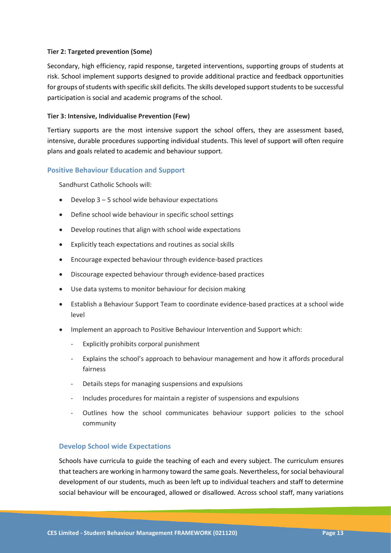### **Tier 2: Targeted prevention (Some)**

Secondary, high efficiency, rapid response, targeted interventions, supporting groups of students at risk. School implement supports designed to provide additional practice and feedback opportunities for groups of students with specific skill deficits. The skills developed support students to be successful participation is social and academic programs of the school.

### **Tier 3: Intensive, Individualise Prevention (Few)**

Tertiary supports are the most intensive support the school offers, they are assessment based, intensive, durable procedures supporting individual students. This level of support will often require plans and goals related to academic and behaviour support.

### **Positive Behaviour Education and Support**

Sandhurst Catholic Schools will:

- Develop 3 5 school wide behaviour expectations
- Define school wide behaviour in specific school settings
- Develop routines that align with school wide expectations
- Explicitly teach expectations and routines as social skills
- Encourage expected behaviour through evidence-based practices
- Discourage expected behaviour through evidence-based practices
- Use data systems to monitor behaviour for decision making
- Establish a Behaviour Support Team to coordinate evidence-based practices at a school wide level
- Implement an approach to Positive Behaviour Intervention and Support which:
	- Explicitly prohibits corporal punishment
	- Explains the school's approach to behaviour management and how it affords procedural fairness
	- Details steps for managing suspensions and expulsions
	- Includes procedures for maintain a register of suspensions and expulsions
	- Outlines how the school communicates behaviour support policies to the school community

### **Develop School wide Expectations**

Schools have curricula to guide the teaching of each and every subject. The curriculum ensures that teachers are working in harmony toward the same goals. Nevertheless, for social behavioural development of our students, much as been left up to individual teachers and staff to determine social behaviour will be encouraged, allowed or disallowed. Across school staff, many variations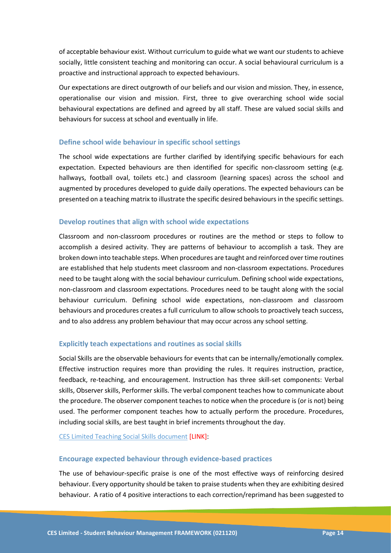of acceptable behaviour exist. Without curriculum to guide what we want our students to achieve socially, little consistent teaching and monitoring can occur. A social behavioural curriculum is a proactive and instructional approach to expected behaviours.

Our expectations are direct outgrowth of our beliefs and our vision and mission. They, in essence, operationalise our vision and mission. First, three to give overarching school wide social behavioural expectations are defined and agreed by all staff. These are valued social skills and behaviours for success at school and eventually in life.

### **Define school wide behaviour in specific school settings**

The school wide expectations are further clarified by identifying specific behaviours for each expectation. Expected behaviours are then identified for specific non-classroom setting (e.g. hallways, football oval, toilets etc.) and classroom (learning spaces) across the school and augmented by procedures developed to guide daily operations. The expected behaviours can be presented on a teaching matrix to illustrate the specific desired behaviours in the specific settings.

#### **Develop routines that align with school wide expectations**

Classroom and non-classroom procedures or routines are the method or steps to follow to accomplish a desired activity. They are patterns of behaviour to accomplish a task. They are broken down into teachable steps. When procedures are taught and reinforced over time routines are established that help students meet classroom and non-classroom expectations. Procedures need to be taught along with the social behaviour curriculum. Defining school wide expectations, non-classroom and classroom expectations. Procedures need to be taught along with the social behaviour curriculum. Defining school wide expectations, non-classroom and classroom behaviours and procedures creates a full curriculum to allow schools to proactively teach success, and to also address any problem behaviour that may occur across any school setting.

### **Explicitly teach expectations and routines as social skills**

Social Skills are the observable behaviours for events that can be internally/emotionally complex. Effective instruction requires more than providing the rules. It requires instruction, practice, feedback, re-teaching, and encouragement. Instruction has three skill-set components: Verbal skills, Observer skills, Performer skills. The verbal component teaches how to communicate about the procedure. The observer component teaches to notice when the procedure is (or is not) being used. The performer component teaches how to actually perform the procedure. Procedures, including social skills, are best taught in brief increments throughout the day.

CES Limited Teaching Social Skills document [LINK]:

#### **Encourage expected behaviour through evidence-based practices**

The use of behaviour-specific praise is one of the most effective ways of reinforcing desired behaviour. Every opportunity should be taken to praise students when they are exhibiting desired behaviour. A ratio of 4 positive interactions to each correction/reprimand has been suggested to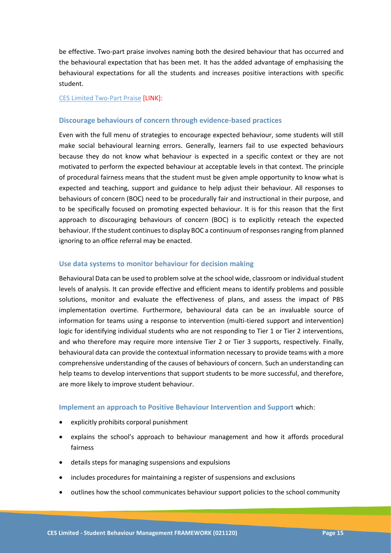be effective. Two-part praise involves naming both the desired behaviour that has occurred and the behavioural expectation that has been met. It has the added advantage of emphasising the behavioural expectations for all the students and increases positive interactions with specific student.

#### CES Limited Two-Part Praise [LINK]:

#### **Discourage behaviours of concern through evidence-based practices**

Even with the full menu of strategies to encourage expected behaviour, some students will still make social behavioural learning errors. Generally, learners fail to use expected behaviours because they do not know what behaviour is expected in a specific context or they are not motivated to perform the expected behaviour at acceptable levels in that context. The principle of procedural fairness means that the student must be given ample opportunity to know what is expected and teaching, support and guidance to help adjust their behaviour. All responses to behaviours of concern (BOC) need to be procedurally fair and instructional in their purpose, and to be specifically focused on promoting expected behaviour. It is for this reason that the first approach to discouraging behaviours of concern (BOC) is to explicitly reteach the expected behaviour. If the student continues to display BOC a continuum of responses ranging from planned ignoring to an office referral may be enacted.

### **Use data systems to monitor behaviour for decision making**

Behavioural Data can be used to problem solve at the school wide, classroom or individual student levels of analysis. It can provide effective and efficient means to identify problems and possible solutions, monitor and evaluate the effectiveness of plans, and assess the impact of PBS implementation overtime. Furthermore, behavioural data can be an invaluable source of information for teams using a response to intervention (multi-tiered support and intervention) logic for identifying individual students who are not responding to Tier 1 or Tier 2 interventions, and who therefore may require more intensive Tier 2 or Tier 3 supports, respectively. Finally, behavioural data can provide the contextual information necessary to provide teams with a more comprehensive understanding of the causes of behaviours of concern. Such an understanding can help teams to develop interventions that support students to be more successful, and therefore, are more likely to improve student behaviour.

#### **Implement an approach to Positive Behaviour Intervention and Support** which:

- explicitly prohibits corporal punishment
- explains the school's approach to behaviour management and how it affords procedural fairness
- details steps for managing suspensions and expulsions
- includes procedures for maintaining a register of suspensions and exclusions
- outlines how the school communicates behaviour support policies to the school community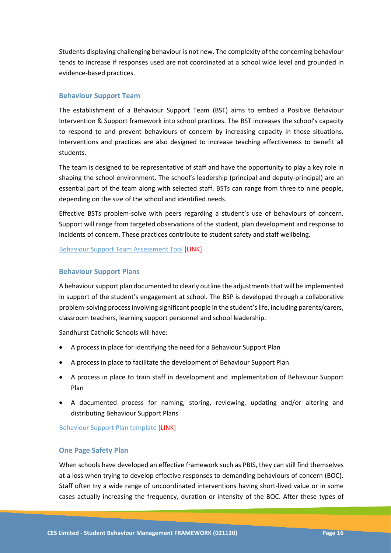Students displaying challenging behaviour is not new. The complexity of the concerning behaviour tends to increase if responses used are not coordinated at a school wide level and grounded in evidence-based practices.

### **Behaviour Support Team**

The establishment of a Behaviour Support Team (BST) aims to embed a Positive Behaviour Intervention & Support framework into school practices. The BST increases the school's capacity to respond to and prevent behaviours of concern by increasing capacity in those situations. Interventions and practices are also designed to increase teaching effectiveness to benefit all students.

The team is designed to be representative of staff and have the opportunity to play a key role in shaping the school environment. The school's leadership (principal and deputy-principal) are an essential part of the team along with selected staff. BSTs can range from three to nine people, depending on the size of the school and identified needs.

Effective BSTs problem-solve with peers regarding a student's use of behaviours of concern. Support will range from targeted observations of the student, plan development and response to incidents of concern. These practices contribute to student safety and staff wellbeing.

Behaviour Support Team Assessment Tool [LINK]

### **Behaviour Support Plans**

A behaviour support plan documented to clearly outline the adjustments that will be implemented in support of the student's engagement at school. The BSP is developed through a collaborative problem-solving process involving significant people in the student's life, including parents/carers, classroom teachers, learning support personnel and school leadership.

Sandhurst Catholic Schools will have:

- A process in place for identifying the need for a Behaviour Support Plan
- A process in place to facilitate the development of Behaviour Support Plan
- A process in place to train staff in development and implementation of Behaviour Support Plan
- A documented process for naming, storing, reviewing, updating and/or altering and distributing Behaviour Support Plans

Behaviour Support Plan template [LINK]

### **One Page Safety Plan**

When schools have developed an effective framework such as PBIS, they can still find themselves at a loss when trying to develop effective responses to demanding behaviours of concern (BOC). Staff often try a wide range of uncoordinated interventions having short-lived value or in some cases actually increasing the frequency, duration or intensity of the BOC. After these types of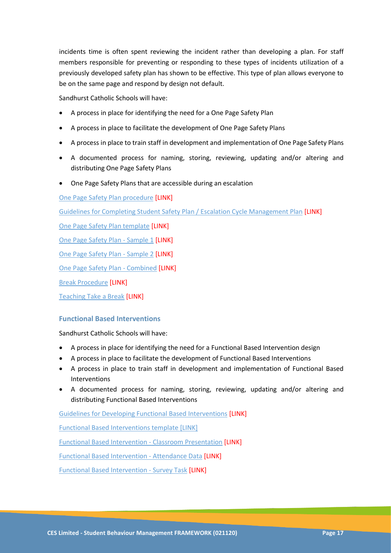incidents time is often spent reviewing the incident rather than developing a plan. For staff members responsible for preventing or responding to these types of incidents utilization of a previously developed safety plan has shown to be effective. This type of plan allows everyone to be on the same page and respond by design not default.

Sandhurst Catholic Schools will have:

- A process in place for identifying the need for a One Page Safety Plan
- A process in place to facilitate the development of One Page Safety Plans
- A process in place to train staff in development and implementation of One Page Safety Plans
- A documented process for naming, storing, reviewing, updating and/or altering and distributing One Page Safety Plans
- One Page Safety Plans that are accessible during an escalation

One Page Safety Plan procedure [LINK]

Guidelines for Completing Student Safety Plan / Escalation Cycle Management Plan [LINK]

One Page Safety Plan template [LINK]

One Page Safety Plan - Sample 1 [LINK]

One Page Safety Plan - Sample 2 [LINK]

One Page Safety Plan - Combined [LINK]

Break Procedure [LINK]

Teaching Take a Break [LINK]

### **Functional Based Interventions**

Sandhurst Catholic Schools will have:

- A process in place for identifying the need for a Functional Based Intervention design
- A process in place to facilitate the development of Functional Based Interventions
- A process in place to train staff in development and implementation of Functional Based Interventions
- A documented process for naming, storing, reviewing, updating and/or altering and distributing Functional Based Interventions

Guidelines for Developing Functional Based Interventions [LINK]

Functional Based Interventions template [LINK]

Functional Based Intervention - Classroom Presentation [LINK]

Functional Based Intervention - Attendance Data [LINK]

Functional Based Intervention - Survey Task [LINK]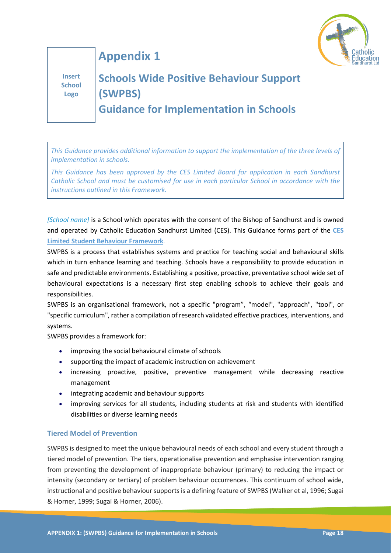

**Appendix 1**

**Insert School Logo**

# **Schools Wide Positive Behaviour Support (SWPBS) Guidance for Implementation in Schools**

*This Guidance provides additional information to support the implementation of the three levels of implementation in schools.*

*This Guidance has been approved by the CES Limited Board for application in each Sandhurst Catholic School and must be customised for use in each particular School in accordance with the instructions outlined in this Framework.*

*[School name]* is a School which operates with the consent of the Bishop of Sandhurst and is owned and operated by Catholic Education Sandhurst Limited (CES). This Guidance forms part of the **CES Limited Student Behaviour Framework***.*

SWPBS is a process that establishes systems and practice for teaching social and behavioural skills which in turn enhance learning and teaching. Schools have a responsibility to provide education in safe and predictable environments. Establishing a positive, proactive, preventative school wide set of behavioural expectations is a necessary first step enabling schools to achieve their goals and responsibilities.

SWPBS is an organisational framework, not a specific "program", "model", "approach", "tool", or "specific curriculum", rather a compilation of research validated effective practices, interventions, and systems.

SWPBS provides a framework for:

- improving the social behavioural climate of schools
- supporting the impact of academic instruction on achievement
- increasing proactive, positive, preventive management while decreasing reactive management
- integrating academic and behaviour supports
- improving services for all students, including students at risk and students with identified disabilities or diverse learning needs

### **Tiered Model of Prevention**

SWPBS is designed to meet the unique behavioural needs of each school and every student through a tiered model of prevention. The tiers, operationalise prevention and emphasise intervention ranging from preventing the development of inappropriate behaviour (primary) to reducing the impact or intensity (secondary or tertiary) of problem behaviour occurrences. This continuum of school wide, instructional and positive behaviour supports is a defining feature of SWPBS (Walker et al, 1996; Sugai & Horner, 1999; Sugai & Horner, 2006).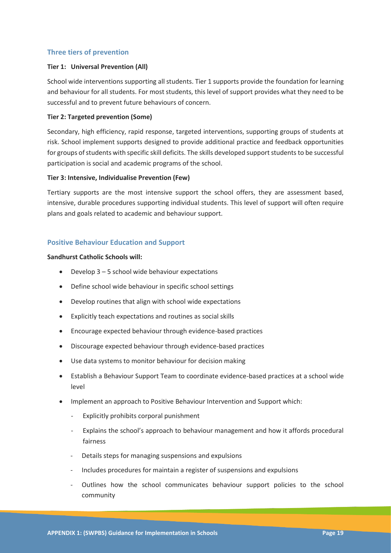### **Three tiers of prevention**

### **Tier 1: Universal Prevention (All)**

School wide interventions supporting all students. Tier 1 supports provide the foundation for learning and behaviour for all students. For most students, this level of support provides what they need to be successful and to prevent future behaviours of concern.

### **Tier 2: Targeted prevention (Some)**

Secondary, high efficiency, rapid response, targeted interventions, supporting groups of students at risk. School implement supports designed to provide additional practice and feedback opportunities for groups of students with specific skill deficits. The skills developed support students to be successful participation is social and academic programs of the school.

### **Tier 3: Intensive, Individualise Prevention (Few)**

Tertiary supports are the most intensive support the school offers, they are assessment based, intensive, durable procedures supporting individual students. This level of support will often require plans and goals related to academic and behaviour support.

### **Positive Behaviour Education and Support**

### **Sandhurst Catholic Schools will:**

- Develop  $3 5$  school wide behaviour expectations
- Define school wide behaviour in specific school settings
- Develop routines that align with school wide expectations
- Explicitly teach expectations and routines as social skills
- Encourage expected behaviour through evidence-based practices
- Discourage expected behaviour through evidence-based practices
- Use data systems to monitor behaviour for decision making
- Establish a Behaviour Support Team to coordinate evidence-based practices at a school wide level
- Implement an approach to Positive Behaviour Intervention and Support which:
	- Explicitly prohibits corporal punishment
	- Explains the school's approach to behaviour management and how it affords procedural fairness
	- Details steps for managing suspensions and expulsions
	- Includes procedures for maintain a register of suspensions and expulsions
	- Outlines how the school communicates behaviour support policies to the school community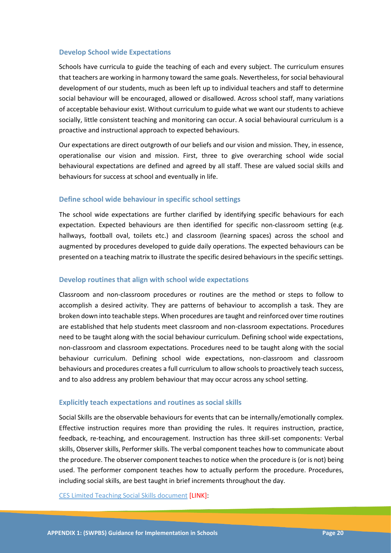### **Develop School wide Expectations**

Schools have curricula to guide the teaching of each and every subject. The curriculum ensures that teachers are working in harmony toward the same goals. Nevertheless, for social behavioural development of our students, much as been left up to individual teachers and staff to determine social behaviour will be encouraged, allowed or disallowed. Across school staff, many variations of acceptable behaviour exist. Without curriculum to guide what we want our students to achieve socially, little consistent teaching and monitoring can occur. A social behavioural curriculum is a proactive and instructional approach to expected behaviours.

Our expectations are direct outgrowth of our beliefs and our vision and mission. They, in essence, operationalise our vision and mission. First, three to give overarching school wide social behavioural expectations are defined and agreed by all staff. These are valued social skills and behaviours for success at school and eventually in life.

### **Define school wide behaviour in specific school settings**

The school wide expectations are further clarified by identifying specific behaviours for each expectation. Expected behaviours are then identified for specific non-classroom setting (e.g. hallways, football oval, toilets etc.) and classroom (learning spaces) across the school and augmented by procedures developed to guide daily operations. The expected behaviours can be presented on a teaching matrix to illustrate the specific desired behaviours in the specific settings.

### **Develop routines that align with school wide expectations**

Classroom and non-classroom procedures or routines are the method or steps to follow to accomplish a desired activity. They are patterns of behaviour to accomplish a task. They are broken down into teachable steps. When procedures are taught and reinforced over time routines are established that help students meet classroom and non-classroom expectations. Procedures need to be taught along with the social behaviour curriculum. Defining school wide expectations, non-classroom and classroom expectations. Procedures need to be taught along with the social behaviour curriculum. Defining school wide expectations, non-classroom and classroom behaviours and procedures creates a full curriculum to allow schools to proactively teach success, and to also address any problem behaviour that may occur across any school setting.

### **Explicitly teach expectations and routines as social skills**

Social Skills are the observable behaviours for events that can be internally/emotionally complex. Effective instruction requires more than providing the rules. It requires instruction, practice, feedback, re-teaching, and encouragement. Instruction has three skill-set components: Verbal skills, Observer skills, Performer skills. The verbal component teaches how to communicate about the procedure. The observer component teaches to notice when the procedure is (or is not) being used. The performer component teaches how to actually perform the procedure. Procedures, including social skills, are best taught in brief increments throughout the day.

CES Limited Teaching Social Skills document [LINK]: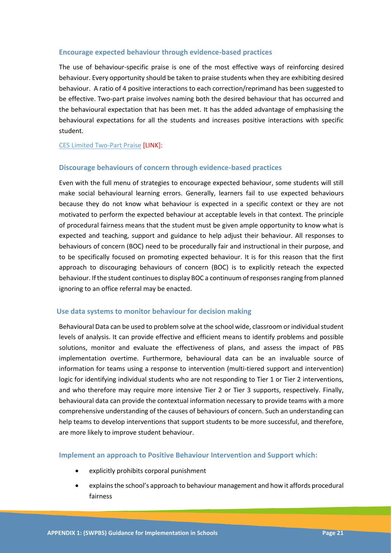### **Encourage expected behaviour through evidence-based practices**

The use of behaviour-specific praise is one of the most effective ways of reinforcing desired behaviour. Every opportunity should be taken to praise students when they are exhibiting desired behaviour. A ratio of 4 positive interactions to each correction/reprimand has been suggested to be effective. Two-part praise involves naming both the desired behaviour that has occurred and the behavioural expectation that has been met. It has the added advantage of emphasising the behavioural expectations for all the students and increases positive interactions with specific student.

### CES Limited Two-Part Praise [LINK]:

#### **Discourage behaviours of concern through evidence-based practices**

Even with the full menu of strategies to encourage expected behaviour, some students will still make social behavioural learning errors. Generally, learners fail to use expected behaviours because they do not know what behaviour is expected in a specific context or they are not motivated to perform the expected behaviour at acceptable levels in that context. The principle of procedural fairness means that the student must be given ample opportunity to know what is expected and teaching, support and guidance to help adjust their behaviour. All responses to behaviours of concern (BOC) need to be procedurally fair and instructional in their purpose, and to be specifically focused on promoting expected behaviour. It is for this reason that the first approach to discouraging behaviours of concern (BOC) is to explicitly reteach the expected behaviour. If the student continues to display BOC a continuum of responses ranging from planned ignoring to an office referral may be enacted.

#### **Use data systems to monitor behaviour for decision making**

Behavioural Data can be used to problem solve at the school wide, classroom or individual student levels of analysis. It can provide effective and efficient means to identify problems and possible solutions, monitor and evaluate the effectiveness of plans, and assess the impact of PBS implementation overtime. Furthermore, behavioural data can be an invaluable source of information for teams using a response to intervention (multi-tiered support and intervention) logic for identifying individual students who are not responding to Tier 1 or Tier 2 interventions, and who therefore may require more intensive Tier 2 or Tier 3 supports, respectively. Finally, behavioural data can provide the contextual information necessary to provide teams with a more comprehensive understanding of the causes of behaviours of concern. Such an understanding can help teams to develop interventions that support students to be more successful, and therefore, are more likely to improve student behaviour.

**Implement an approach to Positive Behaviour Intervention and Support which:**

- explicitly prohibits corporal punishment
- explains the school's approach to behaviour management and how it affords procedural fairness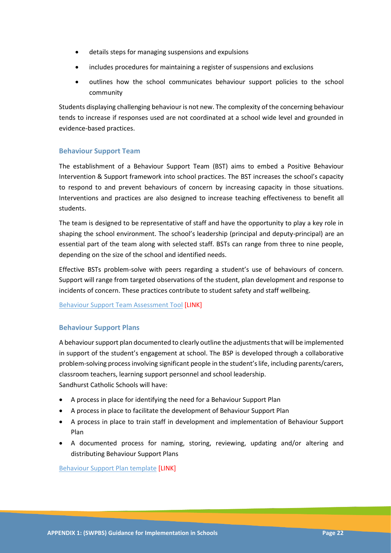- details steps for managing suspensions and expulsions
- includes procedures for maintaining a register of suspensions and exclusions
- outlines how the school communicates behaviour support policies to the school community

Students displaying challenging behaviour is not new. The complexity of the concerning behaviour tends to increase if responses used are not coordinated at a school wide level and grounded in evidence-based practices.

### **Behaviour Support Team**

The establishment of a Behaviour Support Team (BST) aims to embed a Positive Behaviour Intervention & Support framework into school practices. The BST increases the school's capacity to respond to and prevent behaviours of concern by increasing capacity in those situations. Interventions and practices are also designed to increase teaching effectiveness to benefit all students.

The team is designed to be representative of staff and have the opportunity to play a key role in shaping the school environment. The school's leadership (principal and deputy-principal) are an essential part of the team along with selected staff. BSTs can range from three to nine people, depending on the size of the school and identified needs.

Effective BSTs problem-solve with peers regarding a student's use of behaviours of concern. Support will range from targeted observations of the student, plan development and response to incidents of concern. These practices contribute to student safety and staff wellbeing.

Behaviour Support Team Assessment Tool [LINK]

### **Behaviour Support Plans**

A behaviour support plan documented to clearly outline the adjustments that will be implemented in support of the student's engagement at school. The BSP is developed through a collaborative problem-solving process involving significant people in the student's life, including parents/carers, classroom teachers, learning support personnel and school leadership. Sandhurst Catholic Schools will have:

- A process in place for identifying the need for a Behaviour Support Plan
- A process in place to facilitate the development of Behaviour Support Plan
- A process in place to train staff in development and implementation of Behaviour Support Plan
- A documented process for naming, storing, reviewing, updating and/or altering and distributing Behaviour Support Plans

Behaviour Support Plan template [LINK]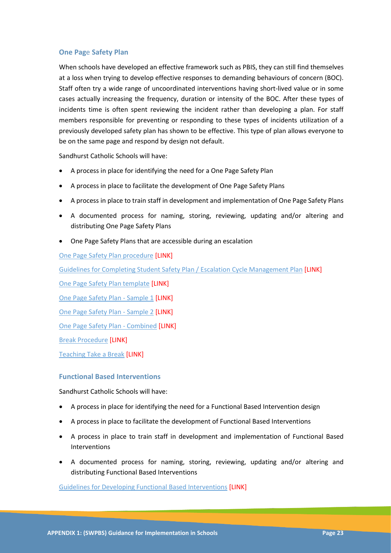### **One Pag**e **Safety Plan**

When schools have developed an effective framework such as PBIS, they can still find themselves at a loss when trying to develop effective responses to demanding behaviours of concern (BOC). Staff often try a wide range of uncoordinated interventions having short-lived value or in some cases actually increasing the frequency, duration or intensity of the BOC. After these types of incidents time is often spent reviewing the incident rather than developing a plan. For staff members responsible for preventing or responding to these types of incidents utilization of a previously developed safety plan has shown to be effective. This type of plan allows everyone to be on the same page and respond by design not default.

Sandhurst Catholic Schools will have:

- A process in place for identifying the need for a One Page Safety Plan
- A process in place to facilitate the development of One Page Safety Plans
- A process in place to train staff in development and implementation of One Page Safety Plans
- A documented process for naming, storing, reviewing, updating and/or altering and distributing One Page Safety Plans
- One Page Safety Plans that are accessible during an escalation

One Page Safety Plan procedure [LINK]

Guidelines for Completing Student Safety Plan / Escalation Cycle Management Plan [LINK]

One Page Safety Plan template [LINK]

One Page Safety Plan - Sample 1 [LINK]

One Page Safety Plan - Sample 2 [LINK]

One Page Safety Plan - Combined [LINK]

Break Procedure [LINK]

Teaching Take a Break [LINK]

#### **Functional Based Interventions**

Sandhurst Catholic Schools will have:

- A process in place for identifying the need for a Functional Based Intervention design
- A process in place to facilitate the development of Functional Based Interventions
- A process in place to train staff in development and implementation of Functional Based Interventions
- A documented process for naming, storing, reviewing, updating and/or altering and distributing Functional Based Interventions

Guidelines for Developing Functional Based Interventions [LINK]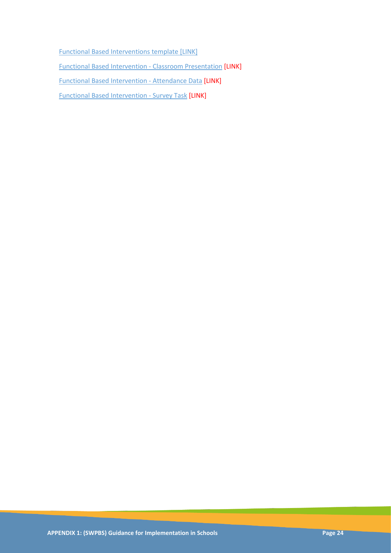Functional Based Interventions template [LINK] Functional Based Intervention - Classroom Presentation [LINK] Functional Based Intervention - Attendance Data [LINK] Functional Based Intervention - Survey Task [LINK]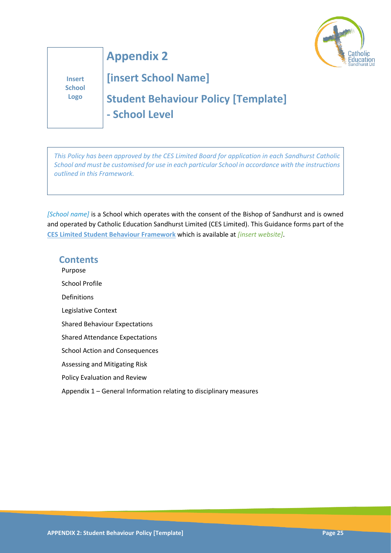

**Insert School Logo**

# **[insert School Name]**

**Appendix 2**

**Student Behaviour Policy [Template] - School Level**

*This Policy has been approved by the CES Limited Board for application in each Sandhurst Catholic School and must be customised for use in each particular School in accordance with the instructions outlined in this Framework.*

*[School name]* is a School which operates with the consent of the Bishop of Sandhurst and is owned and operated by Catholic Education Sandhurst Limited (CES Limited). This Guidance forms part of the **CES Limited Student Behaviour Framework** which is available at *[insert website]*.

### **Contents**

Purpose School Profile Definitions Legislative Context Shared Behaviour Expectations Shared Attendance Expectations School Action and Consequences Assessing and Mitigating Risk Policy Evaluation and Review

Appendix 1 – General Information relating to disciplinary measures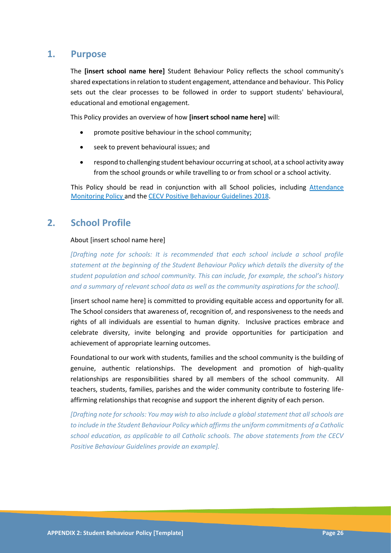### **1. Purpose**

The **[insert school name here]** Student Behaviour Policy reflects the school community's shared expectations in relation to student engagement, attendance and behaviour. This Policy sets out the clear processes to be followed in order to support students' behavioural, educational and emotional engagement.

This Policy provides an overview of how **[insert school name here]** will:

- promote positive behaviour in the school community;
- seek to prevent behavioural issues; and
- respond to challenging student behaviour occurring at school, at a school activity away from the school grounds or while travelling to or from school or a school activity.

This Policy should be read in conjunction with all School policies, including Attendance Monitoring Policy and the CECV Positive Behaviour Guidelines 2018.

### **2. School Profile**

#### About [insert school name here]

*[Drafting note for schools: It is recommended that each school include a school profile statement at the beginning of the Student Behaviour Policy which details the diversity of the student population and school community. This can include, for example, the school's history and a summary of relevant school data as well as the community aspirations for the school].* 

[insert school name here] is committed to providing equitable access and opportunity for all. The School considers that awareness of, recognition of, and responsiveness to the needs and rights of all individuals are essential to human dignity. Inclusive practices embrace and celebrate diversity, invite belonging and provide opportunities for participation and achievement of appropriate learning outcomes.

Foundational to our work with students, families and the school community is the building of genuine, authentic relationships. The development and promotion of high-quality relationships are responsibilities shared by all members of the school community. All teachers, students, families, parishes and the wider community contribute to fostering lifeaffirming relationships that recognise and support the inherent dignity of each person.

*[Drafting note for schools: You may wish to also include a global statement that all schools are to include in the Student Behaviour Policy which affirms the uniform commitments of a Catholic school education, as applicable to all Catholic schools. The above statements from the CECV Positive Behaviour Guidelines provide an example].*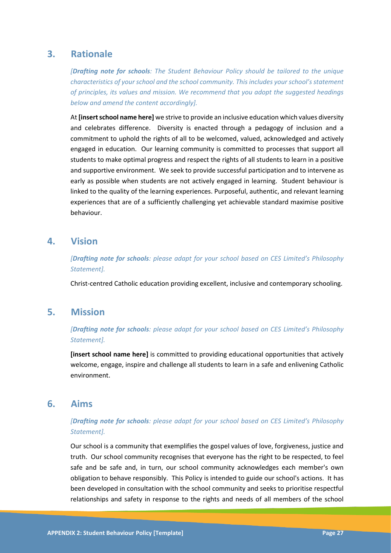### **3. Rationale**

*[Drafting note for schools: The Student Behaviour Policy should be tailored to the unique characteristics of your school and the school community. This includes your school's statement of principles, its values and mission. We recommend that you adopt the suggested headings below and amend the content accordingly].* 

At **[insert school name here]** we strive to provide an inclusive education which values diversity and celebrates difference. Diversity is enacted through a pedagogy of inclusion and a commitment to uphold the rights of all to be welcomed, valued, acknowledged and actively engaged in education. Our learning community is committed to processes that support all students to make optimal progress and respect the rights of all students to learn in a positive and supportive environment. We seek to provide successful participation and to intervene as early as possible when students are not actively engaged in learning. Student behaviour is linked to the quality of the learning experiences. Purposeful, authentic, and relevant learning experiences that are of a sufficiently challenging yet achievable standard maximise positive behaviour.

### **4. Vision**

*[Drafting note for schools: please adapt for your school based on CES Limited's Philosophy Statement].*

Christ-centred Catholic education providing excellent, inclusive and contemporary schooling.

### **5. Mission**

*[Drafting note for schools: please adapt for your school based on CES Limited's Philosophy Statement].*

**[insert school name here]** is committed to providing educational opportunities that actively welcome, engage, inspire and challenge all students to learn in a safe and enlivening Catholic environment.

### **6. Aims**

### *[Drafting note for schools: please adapt for your school based on CES Limited's Philosophy Statement].*

Our school is a community that exemplifies the gospel values of love, forgiveness, justice and truth. Our school community recognises that everyone has the right to be respected, to feel safe and be safe and, in turn, our school community acknowledges each member's own obligation to behave responsibly. This Policy is intended to guide our school's actions. It has been developed in consultation with the school community and seeks to prioritise respectful relationships and safety in response to the rights and needs of all members of the school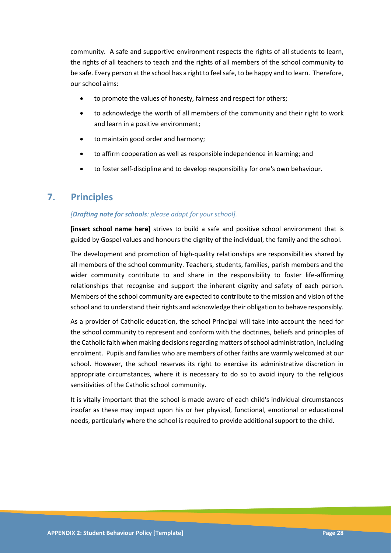community. A safe and supportive environment respects the rights of all students to learn, the rights of all teachers to teach and the rights of all members of the school community to be safe. Every person at the school has a right to feel safe, to be happy and to learn. Therefore, our school aims:

- to promote the values of honesty, fairness and respect for others;
- to acknowledge the worth of all members of the community and their right to work and learn in a positive environment;
- to maintain good order and harmony;
- to affirm cooperation as well as responsible independence in learning; and
- to foster self-discipline and to develop responsibility for one's own behaviour.

### **7. Principles**

### *[Drafting note for schools: please adapt for your school].*

**[insert school name here]** strives to build a safe and positive school environment that is guided by Gospel values and honours the dignity of the individual, the family and the school.

The development and promotion of high-quality relationships are responsibilities shared by all members of the school community. Teachers, students, families, parish members and the wider community contribute to and share in the responsibility to foster life-affirming relationships that recognise and support the inherent dignity and safety of each person. Members of the school community are expected to contribute to the mission and vision of the school and to understand their rights and acknowledge their obligation to behave responsibly.

As a provider of Catholic education, the school Principal will take into account the need for the school community to represent and conform with the doctrines, beliefs and principles of the Catholic faith when making decisions regarding matters of school administration, including enrolment. Pupils and families who are members of other faiths are warmly welcomed at our school. However, the school reserves its right to exercise its administrative discretion in appropriate circumstances, where it is necessary to do so to avoid injury to the religious sensitivities of the Catholic school community.

It is vitally important that the school is made aware of each child's individual circumstances insofar as these may impact upon his or her physical, functional, emotional or educational needs, particularly where the school is required to provide additional support to the child.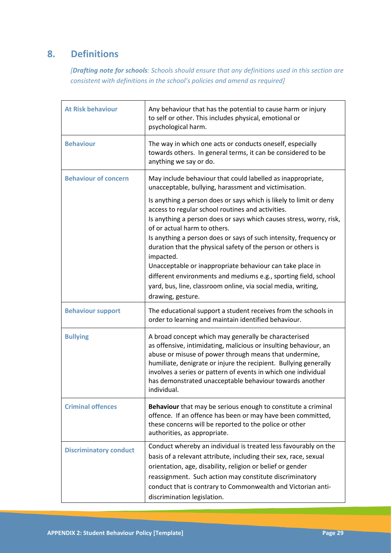### **8. Definitions**

*[Drafting note for schools: Schools should ensure that any definitions used in this section are consistent with definitions in the school's policies and amend as required]*

| <b>At Risk behaviour</b>      | Any behaviour that has the potential to cause harm or injury<br>to self or other. This includes physical, emotional or<br>psychological harm.                                                                                                                                                                                                                                                      |
|-------------------------------|----------------------------------------------------------------------------------------------------------------------------------------------------------------------------------------------------------------------------------------------------------------------------------------------------------------------------------------------------------------------------------------------------|
| <b>Behaviour</b>              | The way in which one acts or conducts oneself, especially<br>towards others. In general terms, it can be considered to be<br>anything we say or do.                                                                                                                                                                                                                                                |
| <b>Behaviour of concern</b>   | May include behaviour that could labelled as inappropriate,<br>unacceptable, bullying, harassment and victimisation.                                                                                                                                                                                                                                                                               |
|                               | Is anything a person does or says which is likely to limit or deny<br>access to regular school routines and activities.<br>Is anything a person does or says which causes stress, worry, risk,                                                                                                                                                                                                     |
|                               | of or actual harm to others.<br>Is anything a person does or says of such intensity, frequency or<br>duration that the physical safety of the person or others is<br>impacted.                                                                                                                                                                                                                     |
|                               | Unacceptable or inappropriate behaviour can take place in<br>different environments and mediums e.g., sporting field, school<br>yard, bus, line, classroom online, via social media, writing,<br>drawing, gesture.                                                                                                                                                                                 |
| <b>Behaviour support</b>      | The educational support a student receives from the schools in<br>order to learning and maintain identified behaviour.                                                                                                                                                                                                                                                                             |
| <b>Bullying</b>               | A broad concept which may generally be characterised<br>as offensive, intimidating, malicious or insulting behaviour, an<br>abuse or misuse of power through means that undermine,<br>humiliate, denigrate or injure the recipient. Bullying generally<br>involves a series or pattern of events in which one individual<br>has demonstrated unacceptable behaviour towards another<br>individual. |
| <b>Criminal offences</b>      | Behaviour that may be serious enough to constitute a criminal<br>offence. If an offence has been or may have been committed,<br>these concerns will be reported to the police or other<br>authorities, as appropriate.                                                                                                                                                                             |
| <b>Discriminatory conduct</b> | Conduct whereby an individual is treated less favourably on the<br>basis of a relevant attribute, including their sex, race, sexual<br>orientation, age, disability, religion or belief or gender<br>reassignment. Such action may constitute discriminatory<br>conduct that is contrary to Commonwealth and Victorian anti-<br>discrimination legislation.                                        |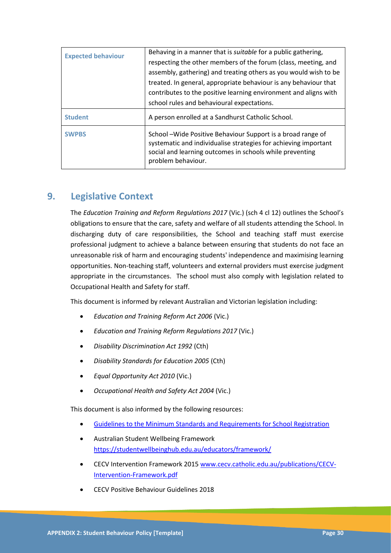| <b>Expected behaviour</b> | Behaving in a manner that is <i>suitable</i> for a public gathering,<br>respecting the other members of the forum (class, meeting, and<br>assembly, gathering) and treating others as you would wish to be<br>treated. In general, appropriate behaviour is any behaviour that<br>contributes to the positive learning environment and aligns with<br>school rules and behavioural expectations. |
|---------------------------|--------------------------------------------------------------------------------------------------------------------------------------------------------------------------------------------------------------------------------------------------------------------------------------------------------------------------------------------------------------------------------------------------|
| <b>Student</b>            | A person enrolled at a Sandhurst Catholic School.                                                                                                                                                                                                                                                                                                                                                |
| <b>SWPBS</b>              | School-Wide Positive Behaviour Support is a broad range of<br>systematic and individualise strategies for achieving important<br>social and learning outcomes in schools while preventing<br>problem behaviour.                                                                                                                                                                                  |

### **9. Legislative Context**

The *Education Training and Reform Regulations 2017* (Vic.) (sch 4 cl 12) outlines the School's obligations to ensure that the care, safety and welfare of all students attending the School. In discharging duty of care responsibilities, the School and teaching staff must exercise professional judgment to achieve a balance between ensuring that students do not face an unreasonable risk of harm and encouraging students' independence and maximising learning opportunities. Non-teaching staff, volunteers and external providers must exercise judgment appropriate in the circumstances. The school must also comply with legislation related to Occupational Health and Safety for staff.

This document is informed by relevant Australian and Victorian legislation including:

- *Education and Training Reform Act 2006* (Vic.)
- *Education and Training Reform Regulations 2017* (Vic.)
- *Disability Discrimination Act 1992* (Cth)
- *Disability Standards for Education 2005* (Cth)
- *Equal Opportunity Act 2010* (Vic.)
- *Occupational Health and Safety Act 2004* (Vic.)

This document is also informed by the following resources:

- [Guidelines to the Minimum Standards and Requirements for School Registration](https://www.vrqa.vic.gov.au/Documents/schoolstandards.docx)
- Australian Student Wellbeing Framework <https://studentwellbeinghub.edu.au/educators/framework/>
- CECV Intervention Framework 2015 [www.cecv.catholic.edu.au/publications/CECV-](http://www.cecv.catholic.edu.au/publications/CECV-Intervention-Framework.pdf)[Intervention-Framework.pdf](http://www.cecv.catholic.edu.au/publications/CECV-Intervention-Framework.pdf)
- CECV Positive Behaviour Guidelines 2018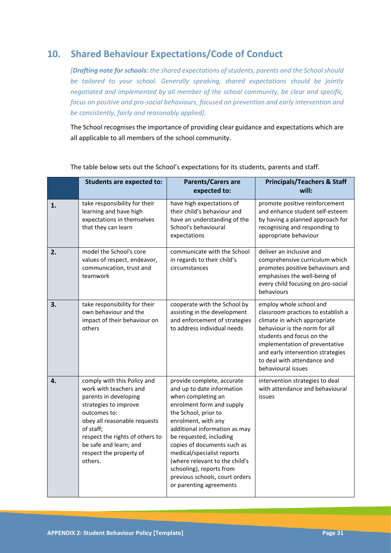### **10. Shared Behaviour Expectations/Code of Conduct**

*[Drafting note for schools: the shared expectations of students, parents and the School should be tailored to your school. Generally speaking, shared expectations should be jointly negotiated and implemented by all member of the school community, be clear and specific, focus on positive and pro-social behaviours, focused on prevention and early intervention and be consistently, fairly and reasonably applied].* 

The School recognises the importance of providing clear guidance and expectations which are all applicable to all members of the school community.

|    | <b>Students are expected to:</b>                                                                                                                                                                                                                                        | <b>Parents/Carers are</b><br>expected to:                                                                                                                                                                                                                                                                                                                                                                      | <b>Principals/Teachers &amp; Staff</b><br>will:                                                                                                                                                                                                                                         |
|----|-------------------------------------------------------------------------------------------------------------------------------------------------------------------------------------------------------------------------------------------------------------------------|----------------------------------------------------------------------------------------------------------------------------------------------------------------------------------------------------------------------------------------------------------------------------------------------------------------------------------------------------------------------------------------------------------------|-----------------------------------------------------------------------------------------------------------------------------------------------------------------------------------------------------------------------------------------------------------------------------------------|
| 1. | take responsibility for their<br>learning and have high<br>expectations in themselves<br>that they can learn                                                                                                                                                            | have high expectations of<br>their child's behaviour and<br>have an understanding of the<br>School's behavioural<br>expectations                                                                                                                                                                                                                                                                               | promote positive reinforcement<br>and enhance student self-esteem<br>by having a planned approach for<br>recognising and responding to<br>appropriate behaviour                                                                                                                         |
| 2. | model the School's core<br>values of respect, endeavor,<br>communication, trust and<br>teamwork                                                                                                                                                                         | communicate with the School<br>in regards to their child's<br>circumstances                                                                                                                                                                                                                                                                                                                                    | deliver an inclusive and<br>comprehensive curriculum which<br>promotes positive behaviours and<br>emphasises the well-being of<br>every child focusing on pro-social<br>behaviours                                                                                                      |
| 3. | take responsibility for their<br>own behaviour and the<br>impact of their behaviour on<br>others                                                                                                                                                                        | cooperate with the School by<br>assisting in the development<br>and enforcement of strategies<br>to address individual needs                                                                                                                                                                                                                                                                                   | employ whole school and<br>classroom practices to establish a<br>climate in which appropriate<br>behaviour is the norm for all<br>students and focus on the<br>implementation of preventative<br>and early intervention strategies<br>to deal with attendance and<br>behavioural issues |
| 4. | comply with this Policy and<br>work with teachers and<br>parents in developing<br>strategies to improve<br>outcomes to:<br>obey all reasonable requests<br>of staff;<br>respect the rights of others to<br>be safe and learn; and<br>respect the property of<br>others. | provide complete, accurate<br>and up to date information<br>when completing an<br>enrolment form and supply<br>the School, prior to<br>enrolment, with any<br>additional information as may<br>be requested, including<br>copies of documents such as<br>medical/specialist reports<br>(where relevant to the child's<br>schooling), reports from<br>previous schools, court orders<br>or parenting agreements | intervention strategies to deal<br>with attendance and behavioural<br>issues                                                                                                                                                                                                            |

The table below sets out the School's expectations for its students, parents and staff.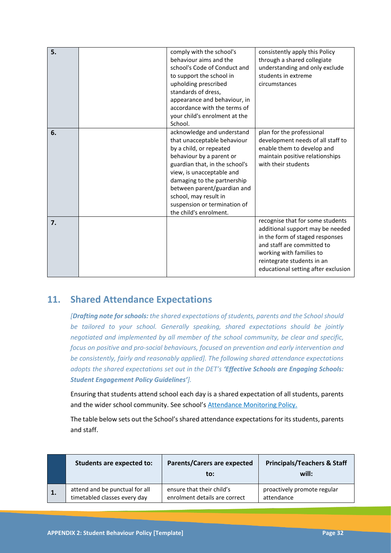| 5. | comply with the school's<br>behaviour aims and the<br>school's Code of Conduct and<br>to support the school in<br>upholding prescribed<br>standards of dress,<br>appearance and behaviour, in<br>accordance with the terms of<br>your child's enrolment at the<br>School.                                                        | consistently apply this Policy<br>through a shared collegiate<br>understanding and only exclude<br>students in extreme<br>circumstances                                                                                                |
|----|----------------------------------------------------------------------------------------------------------------------------------------------------------------------------------------------------------------------------------------------------------------------------------------------------------------------------------|----------------------------------------------------------------------------------------------------------------------------------------------------------------------------------------------------------------------------------------|
| 6. | acknowledge and understand<br>that unacceptable behaviour<br>by a child, or repeated<br>behaviour by a parent or<br>guardian that, in the school's<br>view, is unacceptable and<br>damaging to the partnership<br>between parent/guardian and<br>school, may result in<br>suspension or termination of<br>the child's enrolment. | plan for the professional<br>development needs of all staff to<br>enable them to develop and<br>maintain positive relationships<br>with their students                                                                                 |
| 7. |                                                                                                                                                                                                                                                                                                                                  | recognise that for some students<br>additional support may be needed<br>in the form of staged responses<br>and staff are committed to<br>working with families to<br>reintegrate students in an<br>educational setting after exclusion |

### **11. Shared Attendance Expectations**

*[Drafting note for schools: the shared expectations of students, parents and the School should be tailored to your school. Generally speaking, shared expectations should be jointly negotiated and implemented by all member of the school community, be clear and specific, focus on positive and pro-social behaviours, focused on prevention and early intervention and be consistently, fairly and reasonably applied]. The following shared attendance expectations adopts the shared expectations set out in the DET's 'Effective Schools are Engaging Schools: Student Engagement Policy Guidelines'].* 

Ensuring that students attend school each day is a shared expectation of all students, parents and the wider school community. See school's Attendance Monitoring Policy.

The table below sets out the School's shared attendance expectations for its students, parents and staff.

|                | <b>Students are expected to:</b> | <b>Parents/Carers are expected</b><br>to: | <b>Principals/Teachers &amp; Staff</b><br>will: |
|----------------|----------------------------------|-------------------------------------------|-------------------------------------------------|
| $\mathbf{1}$ . | attend and be punctual for all   | ensure that their child's                 | proactively promote regular                     |
|                | timetabled classes every day     | enrolment details are correct             | attendance                                      |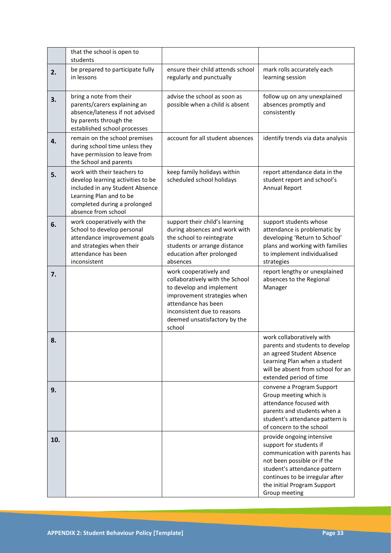|     | that the school is open to<br>students                                                                                                                                                |                                                                                                                                                                                                                      |                                                                                                                                                                                                                                          |
|-----|---------------------------------------------------------------------------------------------------------------------------------------------------------------------------------------|----------------------------------------------------------------------------------------------------------------------------------------------------------------------------------------------------------------------|------------------------------------------------------------------------------------------------------------------------------------------------------------------------------------------------------------------------------------------|
| 2.  | be prepared to participate fully<br>in lessons                                                                                                                                        | ensure their child attends school<br>regularly and punctually                                                                                                                                                        | mark rolls accurately each<br>learning session                                                                                                                                                                                           |
| 3.  | bring a note from their<br>parents/carers explaining an<br>absence/lateness if not advised<br>by parents through the<br>established school processes                                  | advise the school as soon as<br>possible when a child is absent                                                                                                                                                      | follow up on any unexplained<br>absences promptly and<br>consistently                                                                                                                                                                    |
| 4.  | remain on the school premises<br>during school time unless they<br>have permission to leave from<br>the School and parents                                                            | account for all student absences                                                                                                                                                                                     | identify trends via data analysis                                                                                                                                                                                                        |
| 5.  | work with their teachers to<br>develop learning activities to be<br>included in any Student Absence<br>Learning Plan and to be<br>completed during a prolonged<br>absence from school | keep family holidays within<br>scheduled school holidays                                                                                                                                                             | report attendance data in the<br>student report and school's<br><b>Annual Report</b>                                                                                                                                                     |
| 6.  | work cooperatively with the<br>School to develop personal<br>attendance improvement goals<br>and strategies when their<br>attendance has been<br>inconsistent                         | support their child's learning<br>during absences and work with<br>the school to reintegrate<br>students or arrange distance<br>education after prolonged<br>absences                                                | support students whose<br>attendance is problematic by<br>developing 'Return to School'<br>plans and working with families<br>to implement individualised<br>strategies                                                                  |
| 7.  |                                                                                                                                                                                       | work cooperatively and<br>collaboratively with the School<br>to develop and implement<br>improvement strategies when<br>attendance has been<br>inconsistent due to reasons<br>deemed unsatisfactory by the<br>school | report lengthy or unexplained<br>absences to the Regional<br>Manager                                                                                                                                                                     |
|     |                                                                                                                                                                                       |                                                                                                                                                                                                                      | work collaboratively with<br>parents and students to develop<br>an agreed Student Absence<br>Learning Plan when a student<br>will be absent from school for an<br>extended period of time                                                |
| 9.  |                                                                                                                                                                                       |                                                                                                                                                                                                                      | convene a Program Support<br>Group meeting which is<br>attendance focused with<br>parents and students when a<br>student's attendance pattern is<br>of concern to the school                                                             |
| 10. |                                                                                                                                                                                       |                                                                                                                                                                                                                      | provide ongoing intensive<br>support for students if<br>communication with parents has<br>not been possible or if the<br>student's attendance pattern<br>continues to be irregular after<br>the initial Program Support<br>Group meeting |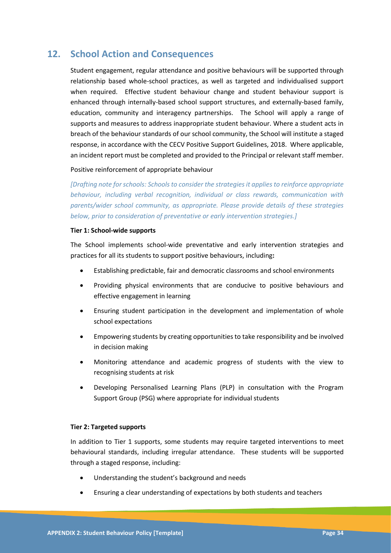### **12. School Action and Consequences**

Student engagement, regular attendance and positive behaviours will be supported through relationship based whole-school practices, as well as targeted and individualised support when required. Effective student behaviour change and student behaviour support is enhanced through internally-based school support structures, and externally-based family, education, community and interagency partnerships. The School will apply a range of supports and measures to address inappropriate student behaviour. Where a student acts in breach of the behaviour standards of our school community, the School will institute a staged response, in accordance with the CECV Positive Support Guidelines, 2018. Where applicable, an incident report must be completed and provided to the Principal or relevant staff member.

### Positive reinforcement of appropriate behaviour

*[Drafting note for schools: Schools to consider the strategies it applies to reinforce appropriate behaviour, including verbal recognition, individual or class rewards, communication with parents/wider school community, as appropriate. Please provide details of these strategies below, prior to consideration of preventative or early intervention strategies.]*

#### **Tier 1: School-wide supports**

The School implements school-wide preventative and early intervention strategies and practices for all its students to support positive behaviours, including**:** 

- Establishing predictable, fair and democratic classrooms and school environments
- Providing physical environments that are conducive to positive behaviours and effective engagement in learning
- Ensuring student participation in the development and implementation of whole school expectations
- Empowering students by creating opportunities to take responsibility and be involved in decision making
- Monitoring attendance and academic progress of students with the view to recognising students at risk
- Developing Personalised Learning Plans (PLP) in consultation with the Program Support Group (PSG) where appropriate for individual students

#### **Tier 2: Targeted supports**

In addition to Tier 1 supports, some students may require targeted interventions to meet behavioural standards, including irregular attendance. These students will be supported through a staged response, including:

- Understanding the student's background and needs
- Ensuring a clear understanding of expectations by both students and teachers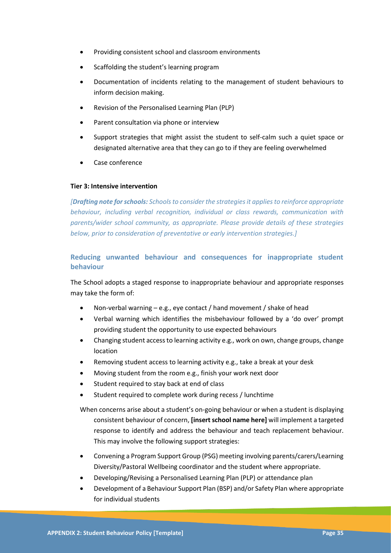- Providing consistent school and classroom environments
- Scaffolding the student's learning program
- Documentation of incidents relating to the management of student behaviours to inform decision making.
- Revision of the Personalised Learning Plan (PLP)
- Parent consultation via phone or interview
- Support strategies that might assist the student to self-calm such a quiet space or designated alternative area that they can go to if they are feeling overwhelmed
- Case conference

### **Tier 3: Intensive intervention**

*[Drafting note for schools: Schools to consider the strategies it applies to reinforce appropriate behaviour, including verbal recognition, individual or class rewards, communication with parents/wider school community, as appropriate. Please provide details of these strategies below, prior to consideration of preventative or early intervention strategies.]*

### **Reducing unwanted behaviour and consequences for inappropriate student behaviour**

The School adopts a staged response to inappropriate behaviour and appropriate responses may take the form of:

- Non-verbal warning  $-e.g.,$  eye contact / hand movement / shake of head
- Verbal warning which identifies the misbehaviour followed by a 'do over' prompt providing student the opportunity to use expected behaviours
- Changing student access to learning activity e.g., work on own, change groups, change location
- Removing student access to learning activity e.g., take a break at your desk
- Moving student from the room e.g., finish your work next door
- Student required to stay back at end of class
- Student required to complete work during recess / lunchtime
- When concerns arise about a student's on-going behaviour or when a student is displaying consistent behaviour of concern, **[insert school name here]** will implement a targeted response to identify and address the behaviour and teach replacement behaviour. This may involve the following support strategies:
- Convening a Program Support Group (PSG) meeting involving parents/carers/Learning Diversity/Pastoral Wellbeing coordinator and the student where appropriate.
- Developing/Revising a Personalised Learning Plan (PLP) or attendance plan
- Development of a Behaviour Support Plan (BSP) and/or Safety Plan where appropriate for individual students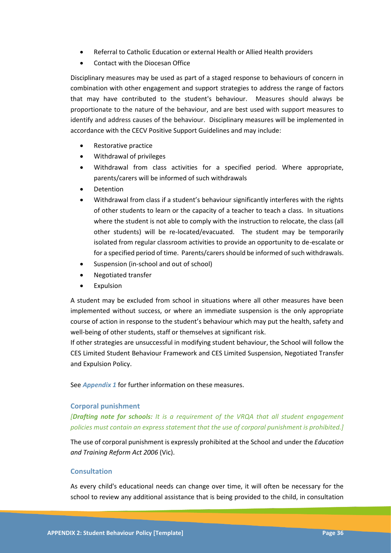- Referral to Catholic Education or external Health or Allied Health providers
- Contact with the Diocesan Office

Disciplinary measures may be used as part of a staged response to behaviours of concern in combination with other engagement and support strategies to address the range of factors that may have contributed to the student's behaviour. Measures should always be proportionate to the nature of the behaviour, and are best used with support measures to identify and address causes of the behaviour. Disciplinary measures will be implemented in accordance with the CECV Positive Support Guidelines and may include:

- Restorative practice
- Withdrawal of privileges
- Withdrawal from class activities for a specified period. Where appropriate, parents/carers will be informed of such withdrawals
- **Detention**
- Withdrawal from class if a student's behaviour significantly interferes with the rights of other students to learn or the capacity of a teacher to teach a class. In situations where the student is not able to comply with the instruction to relocate, the class (all other students) will be re-located/evacuated. The student may be temporarily isolated from regular classroom activities to provide an opportunity to de-escalate or for a specified period of time. Parents/carers should be informed of such withdrawals.
- Suspension (in-school and out of school)
- Negotiated transfer
- **Expulsion**

A student may be excluded from school in situations where all other measures have been implemented without success, or where an immediate suspension is the only appropriate course of action in response to the student's behaviour which may put the health, safety and well-being of other students, staff or themselves at significant risk.

If other strategies are unsuccessful in modifying student behaviour, the School will follow the CES Limited Student Behaviour Framework and CES Limited Suspension, Negotiated Transfer and Expulsion Policy.

See *Appendix 1* for further information on these measures.

### **Corporal punishment**

*[Drafting note for schools: It is a requirement of the VRQA that all student engagement policies must contain an express statement that the use of corporal punishment is prohibited.]*

The use of corporal punishment is expressly prohibited at the School and under the *Education and Training Reform Act 2006* (Vic).

### **Consultation**

As every child's educational needs can change over time, it will often be necessary for the school to review any additional assistance that is being provided to the child, in consultation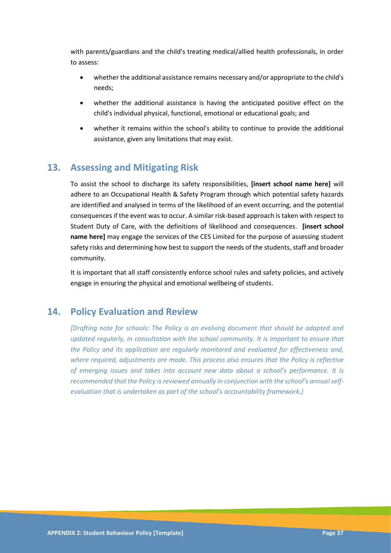with parents/guardians and the child's treating medical/allied health professionals, in order to assess:

- whether the additional assistance remains necessary and/or appropriate to the child's needs;
- whether the additional assistance is having the anticipated positive effect on the child's individual physical, functional, emotional or educational goals; and
- whether it remains within the school's ability to continue to provide the additional assistance, given any limitations that may exist.

### **13. Assessing and Mitigating Risk**

To assist the school to discharge its safety responsibilities, **[insert school name here]** will adhere to an Occupational Health & Safety Program through which potential safety hazards are identified and analysed in terms of the likelihood of an event occurring, and the potential consequences if the event was to occur. A similar risk-based approach is taken with respect to Student Duty of Care, with the definitions of likelihood and consequences. **[insert school name here]** may engage the services of the CES Limited for the purpose of assessing student safety risks and determining how best to support the needs of the students, staff and broader community.

It is important that all staff consistently enforce school rules and safety policies, and actively engage in ensuring the physical and emotional wellbeing of students.

### **14. Policy Evaluation and Review**

*[Drafting note for schools: The Policy is an evolving document that should be adapted and updated regularly, in consultation with the school community. It is important to ensure that the Policy and its application are regularly monitored and evaluated for effectiveness and, where required, adjustments are made. This process also ensures that the Policy is reflective of emerging issues and takes into account new data about a school's performance. It is recommended that the Policy is reviewed annually in conjunction with the school's annual selfevaluation that is undertaken as part of the school's accountability framework.]*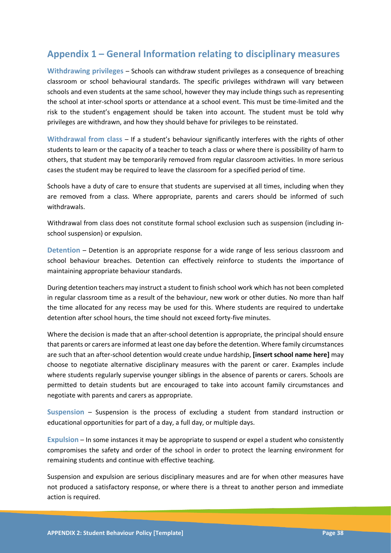### **Appendix 1 – General Information relating to disciplinary measures**

**Withdrawing privileges** – Schools can withdraw student privileges as a consequence of breaching classroom or school behavioural standards. The specific privileges withdrawn will vary between schools and even students at the same school, however they may include things such as representing the school at inter-school sports or attendance at a school event. This must be time-limited and the risk to the student's engagement should be taken into account. The student must be told why privileges are withdrawn, and how they should behave for privileges to be reinstated.

**Withdrawal from class** – If a student's behaviour significantly interferes with the rights of other students to learn or the capacity of a teacher to teach a class or where there is possibility of harm to others, that student may be temporarily removed from regular classroom activities. In more serious cases the student may be required to leave the classroom for a specified period of time.

Schools have a duty of care to ensure that students are supervised at all times, including when they are removed from a class. Where appropriate, parents and carers should be informed of such withdrawals.

Withdrawal from class does not constitute formal school exclusion such as suspension (including inschool suspension) or expulsion.

**Detention** – Detention is an appropriate response for a wide range of less serious classroom and school behaviour breaches. Detention can effectively reinforce to students the importance of maintaining appropriate behaviour standards.

During detention teachers may instruct a student to finish school work which has not been completed in regular classroom time as a result of the behaviour, new work or other duties. No more than half the time allocated for any recess may be used for this. Where students are required to undertake detention after school hours, the time should not exceed forty-five minutes.

Where the decision is made that an after-school detention is appropriate, the principal should ensure that parents or carers are informed at least one day before the detention. Where family circumstances are such that an after-school detention would create undue hardship, **[insert school name here]** may choose to negotiate alternative disciplinary measures with the parent or carer. Examples include where students regularly supervise younger siblings in the absence of parents or carers. Schools are permitted to detain students but are encouraged to take into account family circumstances and negotiate with parents and carers as appropriate.

**Suspension** – Suspension is the process of excluding a student from standard instruction or educational opportunities for part of a day, a full day, or multiple days.

**Expulsion** – In some instances it may be appropriate to suspend or expel a student who consistently compromises the safety and order of the school in order to protect the learning environment for remaining students and continue with effective teaching.

Suspension and expulsion are serious disciplinary measures and are for when other measures have not produced a satisfactory response, or where there is a threat to another person and immediate action is required.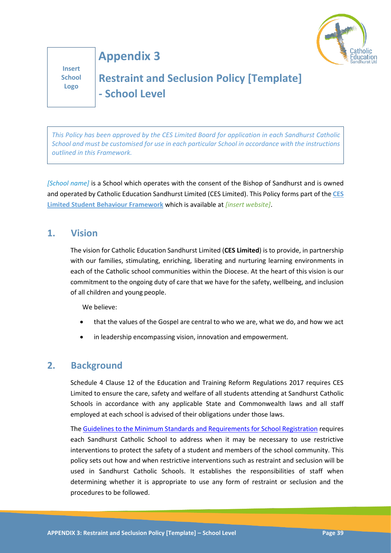

**Insert School Logo**

**Appendix 3**

# **Restraint and Seclusion Policy [Template] - School Level**

*This Policy has been approved by the CES Limited Board for application in each Sandhurst Catholic School and must be customised for use in each particular School in accordance with the instructions outlined in this Framework.*

*[School name]* is a School which operates with the consent of the Bishop of Sandhurst and is owned and operated by Catholic Education Sandhurst Limited (CES Limited). This Policy forms part of the **CES Limited Student Behaviour Framework** which is available at *[insert website]*.

### **1. Vision**

The vision for Catholic Education Sandhurst Limited (**CES Limited**) is to provide, in partnership with our families, stimulating, enriching, liberating and nurturing learning environments in each of the Catholic school communities within the Diocese. At the heart of this vision is our commitment to the ongoing duty of care that we have for the safety, wellbeing, and inclusion of all children and young people.

We believe:

- that the values of the Gospel are central to who we are, what we do, and how we act
- in leadership encompassing vision, innovation and empowerment.

### **2. Background**

Schedule 4 Clause 12 of the Education and Training Reform Regulations 2017 requires CES Limited to ensure the care, safety and welfare of all students attending at Sandhurst Catholic Schools in accordance with any applicable State and Commonwealth laws and all staff employed at each school is advised of their obligations under those laws.

The Guidelines [to the Minimum Standards and Requirements for School Registration](https://www.vrqa.vic.gov.au/Documents/schoolstandards.docx) requires each Sandhurst Catholic School to address when it may be necessary to use restrictive interventions to protect the safety of a student and members of the school community. This policy sets out how and when restrictive interventions such as restraint and seclusion will be used in Sandhurst Catholic Schools. It establishes the responsibilities of staff when determining whether it is appropriate to use any form of restraint or seclusion and the procedures to be followed.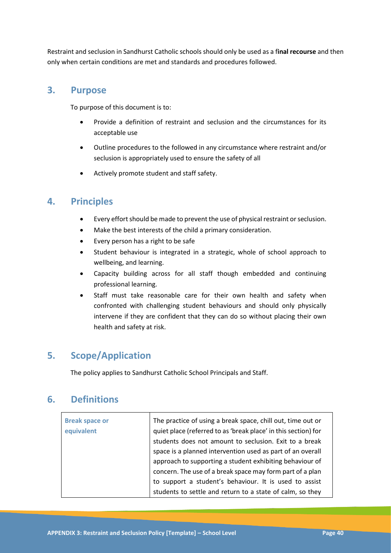Restraint and seclusion in Sandhurst Catholic schools should only be used as a f**inal recourse** and then only when certain conditions are met and standards and procedures followed.

### **3. Purpose**

To purpose of this document is to:

- Provide a definition of restraint and seclusion and the circumstances for its acceptable use
- Outline procedures to the followed in any circumstance where restraint and/or seclusion is appropriately used to ensure the safety of all
- Actively promote student and staff safety.

### **4. Principles**

- Every effort should be made to prevent the use of physical restraint or seclusion.
- Make the best interests of the child a primary consideration.
- Every person has a right to be safe
- Student behaviour is integrated in a strategic, whole of school approach to wellbeing, and learning.
- Capacity building across for all staff though embedded and continuing professional learning.
- Staff must take reasonable care for their own health and safety when confronted with challenging student behaviours and should only physically intervene if they are confident that they can do so without placing their own health and safety at risk.

### **5. Scope/Application**

The policy applies to Sandhurst Catholic School Principals and Staff.

### **6. Definitions**

| <b>Break space or</b><br>equivalent | The practice of using a break space, chill out, time out or<br>quiet place (referred to as 'break place' in this section) for<br>students does not amount to seclusion. Exit to a break<br>space is a planned intervention used as part of an overall<br>approach to supporting a student exhibiting behaviour of<br>concern. The use of a break space may form part of a plan |
|-------------------------------------|--------------------------------------------------------------------------------------------------------------------------------------------------------------------------------------------------------------------------------------------------------------------------------------------------------------------------------------------------------------------------------|
|                                     | to support a student's behaviour. It is used to assist                                                                                                                                                                                                                                                                                                                         |
|                                     | students to settle and return to a state of calm, so they                                                                                                                                                                                                                                                                                                                      |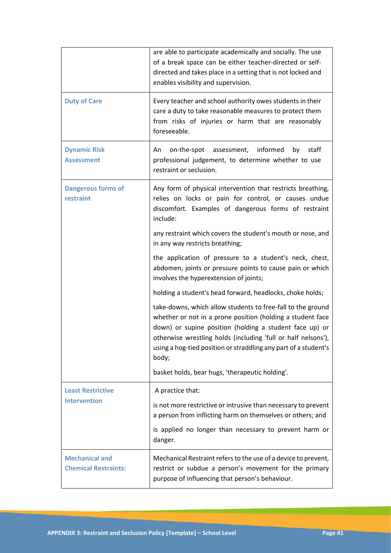|                                                      | are able to participate academically and socially. The use<br>of a break space can be either teacher-directed or self-<br>directed and takes place in a setting that is not locked and<br>enables visibility and supervision.                                                                                                     |
|------------------------------------------------------|-----------------------------------------------------------------------------------------------------------------------------------------------------------------------------------------------------------------------------------------------------------------------------------------------------------------------------------|
| <b>Duty of Care</b>                                  | Every teacher and school authority owes students in their<br>care a duty to take reasonable measures to protect them<br>from risks of injuries or harm that are reasonably<br>foreseeable.                                                                                                                                        |
| <b>Dynamic Risk</b><br><b>Assessment</b>             | on-the-spot<br>assessment,<br>informed<br>staff<br>An<br>by<br>professional judgement, to determine whether to use<br>restraint or seclusion.                                                                                                                                                                                     |
| <b>Dangerous forms of</b><br>restraint               | Any form of physical intervention that restricts breathing,<br>relies on locks or pain for control, or causes undue<br>discomfort. Examples of dangerous forms of restraint<br>include:                                                                                                                                           |
|                                                      | any restraint which covers the student's mouth or nose, and<br>in any way restricts breathing;                                                                                                                                                                                                                                    |
|                                                      | the application of pressure to a student's neck, chest,<br>abdomen, joints or pressure points to cause pain or which<br>involves the hyperextension of joints;                                                                                                                                                                    |
|                                                      | holding a student's head forward, headlocks, choke holds;                                                                                                                                                                                                                                                                         |
|                                                      | take-downs, which allow students to free-fall to the ground<br>whether or not in a prone position (holding a student face<br>down) or supine position (holding a student face up) or<br>otherwise wrestling holds (including 'full or half nelsons'),<br>using a hog-tied position or straddling any part of a student's<br>body; |
|                                                      | basket holds, bear hugs, 'therapeutic holding'.                                                                                                                                                                                                                                                                                   |
| <b>Least Restrictive</b><br><b>Intervention</b>      | A practice that:<br>is not more restrictive or intrusive than necessary to prevent<br>a person from inflicting harm on themselves or others; and<br>is applied no longer than necessary to prevent harm or<br>danger.                                                                                                             |
| <b>Mechanical and</b><br><b>Chemical Restraints:</b> | Mechanical Restraint refers to the use of a device to prevent,<br>restrict or subdue a person's movement for the primary<br>purpose of influencing that person's behaviour.                                                                                                                                                       |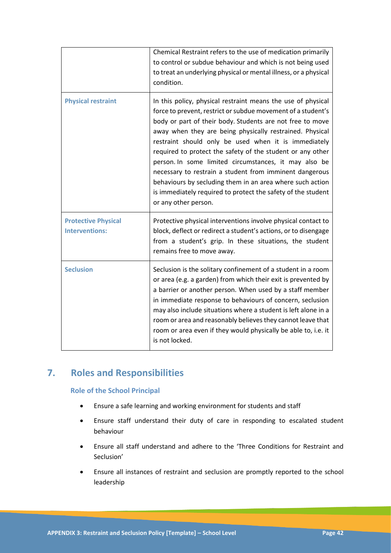|                                                     | Chemical Restraint refers to the use of medication primarily<br>to control or subdue behaviour and which is not being used<br>to treat an underlying physical or mental illness, or a physical<br>condition.                                                                                                                                                                                                                                                                                                                                                                                                                                         |
|-----------------------------------------------------|------------------------------------------------------------------------------------------------------------------------------------------------------------------------------------------------------------------------------------------------------------------------------------------------------------------------------------------------------------------------------------------------------------------------------------------------------------------------------------------------------------------------------------------------------------------------------------------------------------------------------------------------------|
| <b>Physical restraint</b>                           | In this policy, physical restraint means the use of physical<br>force to prevent, restrict or subdue movement of a student's<br>body or part of their body. Students are not free to move<br>away when they are being physically restrained. Physical<br>restraint should only be used when it is immediately<br>required to protect the safety of the student or any other<br>person. In some limited circumstances, it may also be<br>necessary to restrain a student from imminent dangerous<br>behaviours by secluding them in an area where such action<br>is immediately required to protect the safety of the student<br>or any other person. |
| <b>Protective Physical</b><br><b>Interventions:</b> | Protective physical interventions involve physical contact to<br>block, deflect or redirect a student's actions, or to disengage<br>from a student's grip. In these situations, the student<br>remains free to move away.                                                                                                                                                                                                                                                                                                                                                                                                                            |
| <b>Seclusion</b>                                    | Seclusion is the solitary confinement of a student in a room<br>or area (e.g. a garden) from which their exit is prevented by<br>a barrier or another person. When used by a staff member<br>in immediate response to behaviours of concern, seclusion<br>may also include situations where a student is left alone in a<br>room or area and reasonably believes they cannot leave that<br>room or area even if they would physically be able to, i.e. it<br>is not locked.                                                                                                                                                                          |

### **7. Roles and Responsibilities**

### **Role of the School Principal**

- Ensure a safe learning and working environment for students and staff
- Ensure staff understand their duty of care in responding to escalated student behaviour
- Ensure all staff understand and adhere to the 'Three Conditions for Restraint and Seclusion'
- Ensure all instances of restraint and seclusion are promptly reported to the school leadership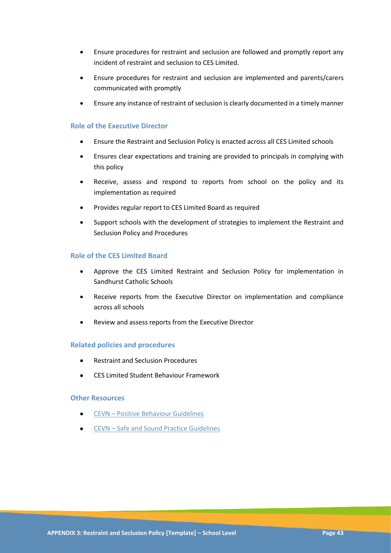- Ensure procedures for restraint and seclusion are followed and promptly report any incident of restraint and seclusion to CES Limited.
- Ensure procedures for restraint and seclusion are implemented and parents/carers communicated with promptly
- Ensure any instance of restraint of seclusion is clearly documented in a timely manner

### **Role of the Executive Director**

- Ensure the Restraint and Seclusion Policy is enacted across all CES Limited schools
- Ensures clear expectations and training are provided to principals in complying with this policy
- Receive, assess and respond to reports from school on the policy and its implementation as required
- Provides regular report to CES Limited Board as required
- Support schools with the development of strategies to implement the Restraint and Seclusion Policy and Procedures

### **Role of the CES Limited Board**

- Approve the CES Limited Restraint and Seclusion Policy for implementation in Sandhurst Catholic Schools
- Receive reports from the Executive Director on implementation and compliance across all schools
- Review and assess reports from the Executive Director

### **Related policies and procedures**

- Restraint and Seclusion Procedures
- CES Limited Student Behaviour Framework

### **Other Resources**

- CEVN [Positive](https://cevn.cecv.catholic.edu.au/Sand/Child-Safety) Behaviour Guidelines
- [CEVN](https://cevn.cecv.catholic.edu.au/Sand/Compliance/Registration#school-registration-forum)  Safe and Sound Practice Guidelines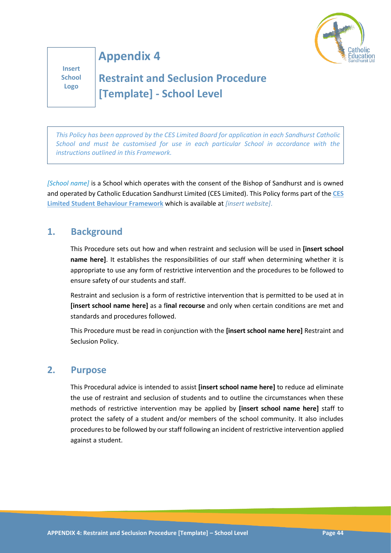

**Insert School Logo**

# **Restraint and Seclusion Procedure [Template] - School Level**

**Appendix 4**

*This Policy has been approved by the CES Limited Board for application in each Sandhurst Catholic School and must be customised for use in each particular School in accordance with the instructions outlined in this Framework.*

*[School name]* is a School which operates with the consent of the Bishop of Sandhurst and is owned and operated by Catholic Education Sandhurst Limited (CES Limited). This Policy forms part of the **CES Limited Student Behaviour Framework** which is available at *[insert website]*.

### **1. Background**

This Procedure sets out how and when restraint and seclusion will be used in **[insert school name here]**. It establishes the responsibilities of our staff when determining whether it is appropriate to use any form of restrictive intervention and the procedures to be followed to ensure safety of our students and staff.

Restraint and seclusion is a form of restrictive intervention that is permitted to be used at in **[insert school name here]** as a f**inal recourse** and only when certain conditions are met and standards and procedures followed.

This Procedure must be read in conjunction with the **[insert school name here]** Restraint and Seclusion Policy.

### **2. Purpose**

This Procedural advice is intended to assist **[insert school name here]** to reduce ad eliminate the use of restraint and seclusion of students and to outline the circumstances when these methods of restrictive intervention may be applied by **[insert school name here]** staff to protect the safety of a student and/or members of the school community. It also includes procedures to be followed by our staff following an incident of restrictive intervention applied against a student.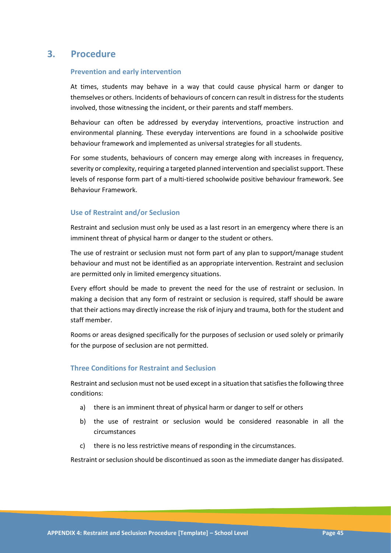### **3. Procedure**

### **Prevention and early intervention**

At times, students may behave in a way that could cause physical harm or danger to themselves or others. Incidents of behaviours of concern can result in distress for the students involved, those witnessing the incident, or their parents and staff members.

Behaviour can often be addressed by everyday interventions, proactive instruction and environmental planning. These everyday interventions are found in a schoolwide positive behaviour framework and implemented as universal strategies for all students.

For some students, behaviours of concern may emerge along with increases in frequency, severity or complexity, requiring a targeted planned intervention and specialist support. These levels of response form part of a multi-tiered schoolwide positive behaviour framework. See Behaviour Framework.

### **Use of Restraint and/or Seclusion**

Restraint and seclusion must only be used as a last resort in an emergency where there is an imminent threat of physical harm or danger to the student or others.

The use of restraint or seclusion must not form part of any plan to support/manage student behaviour and must not be identified as an appropriate intervention. Restraint and seclusion are permitted only in limited emergency situations.

Every effort should be made to prevent the need for the use of restraint or seclusion. In making a decision that any form of restraint or seclusion is required, staff should be aware that their actions may directly increase the risk of injury and trauma, both for the student and staff member.

Rooms or areas designed specifically for the purposes of seclusion or used solely or primarily for the purpose of seclusion are not permitted.

### **Three Conditions for Restraint and Seclusion**

Restraint and seclusion must not be used except in a situation that satisfies the following three conditions:

- a) there is an imminent threat of physical harm or danger to self or others
- b) the use of restraint or seclusion would be considered reasonable in all the circumstances
- c) there is no less restrictive means of responding in the circumstances.

Restraint or seclusion should be discontinued as soon as the immediate danger has dissipated.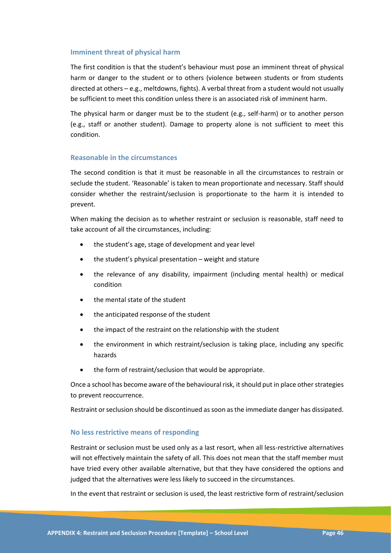### **Imminent threat of physical harm**

The first condition is that the student's behaviour must pose an imminent threat of physical harm or danger to the student or to others (violence between students or from students directed at others – e.g., meltdowns, fights). A verbal threat from a student would not usually be sufficient to meet this condition unless there is an associated risk of imminent harm.

The physical harm or danger must be to the student (e.g., self-harm) or to another person (e.g., staff or another student). Damage to property alone is not sufficient to meet this condition.

### **Reasonable in the circumstances**

The second condition is that it must be reasonable in all the circumstances to restrain or seclude the student. 'Reasonable' is taken to mean proportionate and necessary. Staff should consider whether the restraint/seclusion is proportionate to the harm it is intended to prevent.

When making the decision as to whether restraint or seclusion is reasonable, staff need to take account of all the circumstances, including:

- the student's age, stage of development and year level
- $\bullet$  the student's physical presentation weight and stature
- the relevance of any disability, impairment (including mental health) or medical condition
- the mental state of the student
- the anticipated response of the student
- the impact of the restraint on the relationship with the student
- the environment in which restraint/seclusion is taking place, including any specific hazards
- the form of restraint/seclusion that would be appropriate.

Once a school has become aware of the behavioural risk, it should put in place other strategies to prevent reoccurrence.

Restraint or seclusion should be discontinued as soon as the immediate danger has dissipated.

#### **No less restrictive means of responding**

Restraint or seclusion must be used only as a last resort, when all less-restrictive alternatives will not effectively maintain the safety of all. This does not mean that the staff member must have tried every other available alternative, but that they have considered the options and judged that the alternatives were less likely to succeed in the circumstances.

In the event that restraint or seclusion is used, the least restrictive form of restraint/seclusion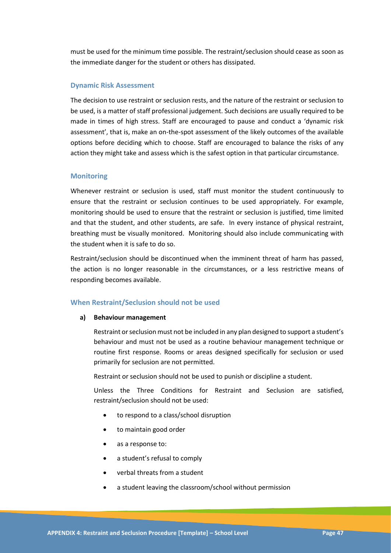must be used for the minimum time possible. The restraint/seclusion should cease as soon as the immediate danger for the student or others has dissipated.

#### **Dynamic Risk Assessment**

The decision to use restraint or seclusion rests, and the nature of the restraint or seclusion to be used, is a matter of staff professional judgement. Such decisions are usually required to be made in times of high stress. Staff are encouraged to pause and conduct a 'dynamic risk assessment', that is, make an on-the-spot assessment of the likely outcomes of the available options before deciding which to choose. Staff are encouraged to balance the risks of any action they might take and assess which is the safest option in that particular circumstance.

### **Monitoring**

Whenever restraint or seclusion is used, staff must monitor the student continuously to ensure that the restraint or seclusion continues to be used appropriately. For example, monitoring should be used to ensure that the restraint or seclusion is justified, time limited and that the student, and other students, are safe. In every instance of physical restraint, breathing must be visually monitored. Monitoring should also include communicating with the student when it is safe to do so.

Restraint/seclusion should be discontinued when the imminent threat of harm has passed, the action is no longer reasonable in the circumstances, or a less restrictive means of responding becomes available.

#### **When Restraint/Seclusion should not be used**

#### **a) Behaviour management**

Restraint or seclusion must not be included in any plan designed to support a student's behaviour and must not be used as a routine behaviour management technique or routine first response. Rooms or areas designed specifically for seclusion or used primarily for seclusion are not permitted.

Restraint or seclusion should not be used to punish or discipline a student.

Unless the Three Conditions for Restraint and Seclusion are satisfied, restraint/seclusion should not be used:

- to respond to a class/school disruption
- to maintain good order
- as a response to:
- a student's refusal to comply
- verbal threats from a student
- a student leaving the classroom/school without permission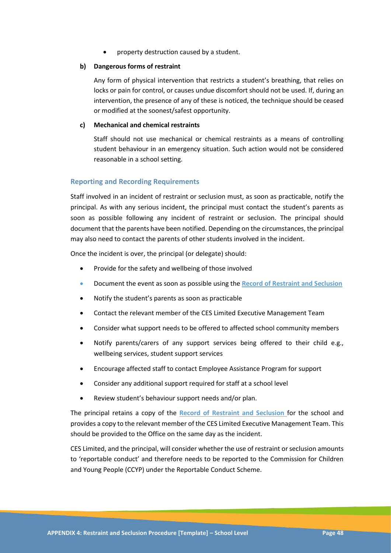property destruction caused by a student.

### **b) Dangerous forms of restraint**

Any form of physical intervention that restricts a student's breathing, that relies on locks or pain for control, or causes undue discomfort should not be used. If, during an intervention, the presence of any of these is noticed, the technique should be ceased or modified at the soonest/safest opportunity.

### **c) Mechanical and chemical restraints**

Staff should not use mechanical or chemical restraints as a means of controlling student behaviour in an emergency situation. Such action would not be considered reasonable in a school setting.

### **Reporting and Recording Requirements**

Staff involved in an incident of restraint or seclusion must, as soon as practicable, notify the principal. As with any serious incident, the principal must contact the student's parents as soon as possible following any incident of restraint or seclusion. The principal should document that the parents have been notified. Depending on the circumstances, the principal may also need to contact the parents of other students involved in the incident.

Once the incident is over, the principal (or delegate) should:

- Provide for the safety and wellbeing of those involved
- Document the event as soon as possible using the **Record of Restraint and Seclusion**
- Notify the student's parents as soon as practicable
- Contact the relevant member of the CES Limited Executive Management Team
- Consider what support needs to be offered to affected school community members
- Notify parents/carers of any support services being offered to their child e.g., wellbeing services, student support services
- Encourage affected staff to contact Employee Assistance Program for support
- Consider any additional support required for staff at a school level
- Review student's behaviour support needs and/or plan.

The principal retains a copy of the **Record of Restraint and Seclusion** for the school and provides a copy to the relevant member of the CES Limited Executive Management Team. This should be provided to the Office on the same day as the incident.

CES Limited, and the principal, will consider whether the use of restraint or seclusion amounts to 'reportable conduct' and therefore needs to be reported to the Commission for Children and Young People (CCYP) under the Reportable Conduct Scheme.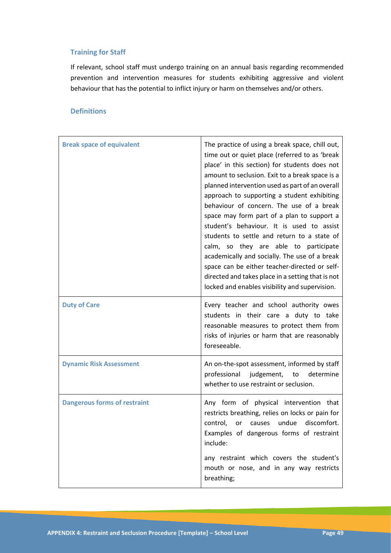### **Training for Staff**

If relevant, school staff must undergo training on an annual basis regarding recommended prevention and intervention measures for students exhibiting aggressive and violent behaviour that has the potential to inflict injury or harm on themselves and/or others.

### **Definitions**

| <b>Break space of equivalent</b>    | The practice of using a break space, chill out,<br>time out or quiet place (referred to as 'break<br>place' in this section) for students does not<br>amount to seclusion. Exit to a break space is a<br>planned intervention used as part of an overall<br>approach to supporting a student exhibiting<br>behaviour of concern. The use of a break<br>space may form part of a plan to support a<br>student's behaviour. It is used to assist<br>students to settle and return to a state of<br>calm, so they are able to participate<br>academically and socially. The use of a break<br>space can be either teacher-directed or self-<br>directed and takes place in a setting that is not<br>locked and enables visibility and supervision. |  |
|-------------------------------------|-------------------------------------------------------------------------------------------------------------------------------------------------------------------------------------------------------------------------------------------------------------------------------------------------------------------------------------------------------------------------------------------------------------------------------------------------------------------------------------------------------------------------------------------------------------------------------------------------------------------------------------------------------------------------------------------------------------------------------------------------|--|
| <b>Duty of Care</b>                 | Every teacher and school authority owes<br>students in their care a duty to take<br>reasonable measures to protect them from<br>risks of injuries or harm that are reasonably<br>foreseeable.                                                                                                                                                                                                                                                                                                                                                                                                                                                                                                                                                   |  |
| <b>Dynamic Risk Assessment</b>      | An on-the-spot assessment, informed by staff<br>professional judgement, to<br>determine<br>whether to use restraint or seclusion.                                                                                                                                                                                                                                                                                                                                                                                                                                                                                                                                                                                                               |  |
| <b>Dangerous forms of restraint</b> | Any form of physical intervention that<br>restricts breathing, relies on locks or pain for<br>discomfort.<br>undue<br>control,<br>causes<br>or<br>Examples of dangerous forms of restraint<br>include:                                                                                                                                                                                                                                                                                                                                                                                                                                                                                                                                          |  |
|                                     | any restraint which covers the student's<br>mouth or nose, and in any way restricts<br>breathing;                                                                                                                                                                                                                                                                                                                                                                                                                                                                                                                                                                                                                                               |  |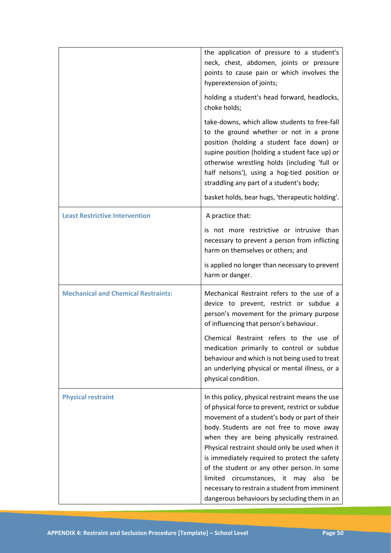|                                            | the application of pressure to a student's<br>neck, chest, abdomen, joints or pressure<br>points to cause pain or which involves the<br>hyperextension of joints;                                                                                                                                                                                                                                                                                                                                                                                 |
|--------------------------------------------|---------------------------------------------------------------------------------------------------------------------------------------------------------------------------------------------------------------------------------------------------------------------------------------------------------------------------------------------------------------------------------------------------------------------------------------------------------------------------------------------------------------------------------------------------|
|                                            | holding a student's head forward, headlocks,<br>choke holds;                                                                                                                                                                                                                                                                                                                                                                                                                                                                                      |
|                                            | take-downs, which allow students to free-fall<br>to the ground whether or not in a prone<br>position (holding a student face down) or<br>supine position (holding a student face up) or<br>otherwise wrestling holds (including 'full or<br>half nelsons'), using a hog-tied position or<br>straddling any part of a student's body;<br>basket holds, bear hugs, 'therapeutic holding'.                                                                                                                                                           |
| <b>Least Restrictive Intervention</b>      | A practice that:                                                                                                                                                                                                                                                                                                                                                                                                                                                                                                                                  |
|                                            | is not more restrictive or intrusive than<br>necessary to prevent a person from inflicting<br>harm on themselves or others; and                                                                                                                                                                                                                                                                                                                                                                                                                   |
|                                            | is applied no longer than necessary to prevent<br>harm or danger.                                                                                                                                                                                                                                                                                                                                                                                                                                                                                 |
| <b>Mechanical and Chemical Restraints:</b> | Mechanical Restraint refers to the use of a<br>device to prevent, restrict or subdue a<br>person's movement for the primary purpose<br>of influencing that person's behaviour.                                                                                                                                                                                                                                                                                                                                                                    |
|                                            | Chemical Restraint refers to the use of<br>medication primarily to control or subdue<br>behaviour and which is not being used to treat<br>an underlying physical or mental illness, or a<br>physical condition.                                                                                                                                                                                                                                                                                                                                   |
| <b>Physical restraint</b>                  | In this policy, physical restraint means the use<br>of physical force to prevent, restrict or subdue<br>movement of a student's body or part of their<br>body. Students are not free to move away<br>when they are being physically restrained.<br>Physical restraint should only be used when it<br>is immediately required to protect the safety<br>of the student or any other person. In some<br>limited circumstances, it may<br>also<br>be<br>necessary to restrain a student from imminent<br>dangerous behaviours by secluding them in an |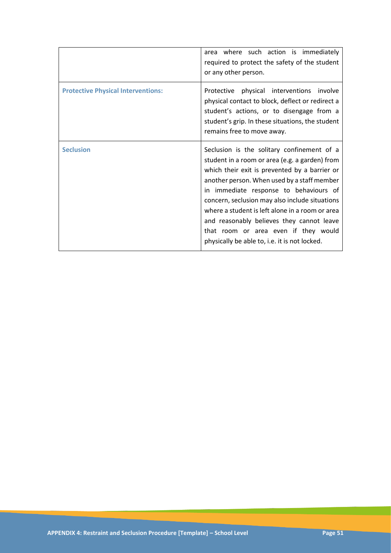|                                           | area where such action is immediately<br>required to protect the safety of the student<br>or any other person.                                                                                                                                                                                                                                                                                                                                                                    |
|-------------------------------------------|-----------------------------------------------------------------------------------------------------------------------------------------------------------------------------------------------------------------------------------------------------------------------------------------------------------------------------------------------------------------------------------------------------------------------------------------------------------------------------------|
| <b>Protective Physical Interventions:</b> | physical interventions<br>Protective<br>involve<br>physical contact to block, deflect or redirect a<br>student's actions, or to disengage from a<br>student's grip. In these situations, the student<br>remains free to move away.                                                                                                                                                                                                                                                |
| <b>Seclusion</b>                          | Seclusion is the solitary confinement of a<br>student in a room or area (e.g. a garden) from<br>which their exit is prevented by a barrier or<br>another person. When used by a staff member<br>in immediate response to behaviours of<br>concern, seclusion may also include situations<br>where a student is left alone in a room or area<br>and reasonably believes they cannot leave<br>that room or area even if they would<br>physically be able to, i.e. it is not locked. |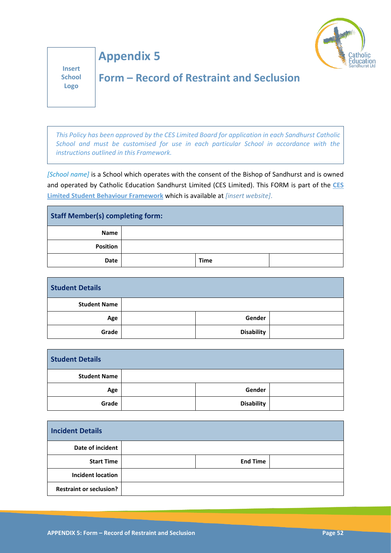

**Insert School Logo**

**Appendix 5**

## **Form – Record of Restraint and Seclusion**

*This Policy has been approved by the CES Limited Board for application in each Sandhurst Catholic School and must be customised for use in each particular School in accordance with the instructions outlined in this Framework.*

*[School name]* is a School which operates with the consent of the Bishop of Sandhurst and is owned and operated by Catholic Education Sandhurst Limited (CES Limited). This FORM is part of the **CES Limited Student Behaviour Framework** which is available at *[insert website]*.

| <b>Staff Member(s) completing form:</b> |  |             |  |
|-----------------------------------------|--|-------------|--|
| Name                                    |  |             |  |
| <b>Position</b>                         |  |             |  |
| Date                                    |  | <b>Time</b> |  |

| <b>Student Details</b> |                   |  |
|------------------------|-------------------|--|
| <b>Student Name</b>    |                   |  |
| Age                    | Gender            |  |
| Grade                  | <b>Disability</b> |  |

| <b>Student Details</b> |                   |  |
|------------------------|-------------------|--|
| <b>Student Name</b>    |                   |  |
| Age                    | Gender            |  |
| Grade                  | <b>Disability</b> |  |

| <b>Incident Details</b>        |                 |  |
|--------------------------------|-----------------|--|
| Date of incident               |                 |  |
| <b>Start Time</b>              | <b>End Time</b> |  |
| <b>Incident location</b>       |                 |  |
| <b>Restraint or seclusion?</b> |                 |  |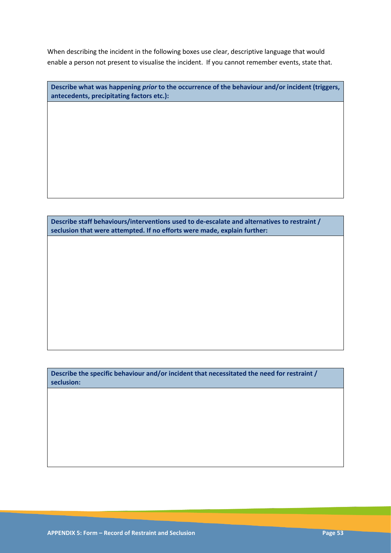When describing the incident in the following boxes use clear, descriptive language that would enable a person not present to visualise the incident. If you cannot remember events, state that.

| Describe what was happening <i>prior</i> to the occurrence of the behaviour and/or incident (triggers, |
|--------------------------------------------------------------------------------------------------------|
| antecedents, precipitating factors etc.):                                                              |

**Describe staff behaviours/interventions used to de-escalate and alternatives to restraint / seclusion that were attempted. If no efforts were made, explain further:** 

**Describe the specific behaviour and/or incident that necessitated the need for restraint / seclusion:**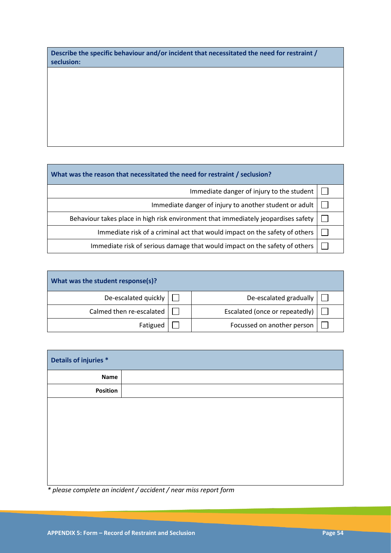| Describe the specific behaviour and/or incident that necessitated the need for restraint / |  |
|--------------------------------------------------------------------------------------------|--|
| seclusion:                                                                                 |  |

| What was the reason that necessitated the need for restraint / seclusion?          |  |  |  |
|------------------------------------------------------------------------------------|--|--|--|
| Immediate danger of injury to the student                                          |  |  |  |
| Immediate danger of injury to another student or adult                             |  |  |  |
| Behaviour takes place in high risk environment that immediately jeopardises safety |  |  |  |
| Immediate risk of a criminal act that would impact on the safety of others         |  |  |  |

Immediate risk of serious damage that would impact on the safety of others  $\Box$ 

| What was the student response(s)? |  |                                |  |  |
|-----------------------------------|--|--------------------------------|--|--|
| De-escalated quickly              |  | De-escalated gradually         |  |  |
| Calmed then re-escalated          |  | Escalated (once or repeatedly) |  |  |
| Fatigued                          |  | Focussed on another person     |  |  |

| Details of injuries * |  |  |
|-----------------------|--|--|
|                       |  |  |
|                       |  |  |
|                       |  |  |
|                       |  |  |
|                       |  |  |
|                       |  |  |
|                       |  |  |
|                       |  |  |
|                       |  |  |

*\* please complete an incident / accident / near miss report form*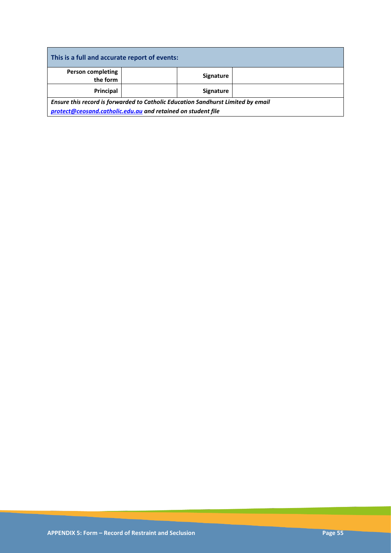| This is a full and accurate report of events:                                    |  |                  |  |  |
|----------------------------------------------------------------------------------|--|------------------|--|--|
| <b>Person completing</b><br>the form                                             |  | <b>Signature</b> |  |  |
| Principal                                                                        |  | <b>Signature</b> |  |  |
| Ensure this record is forwarded to Catholic Education Sandhurst Limited by email |  |                  |  |  |
| protect@ceosand.catholic.edu.au and retained on student file                     |  |                  |  |  |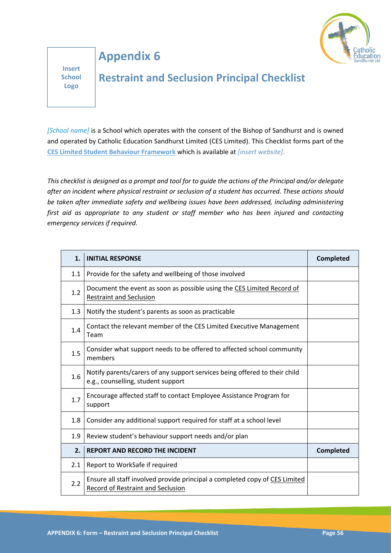

# **Appendix 6**

**Insert School Logo**

# **Restraint and Seclusion Principal Checklist**

*[School name]* is a School which operates with the consent of the Bishop of Sandhurst and is owned and operated by Catholic Education Sandhurst Limited (CES Limited). This Checklist forms part of the **CES Limited Student Behaviour Framework** which is available at *[insert website]*.

*This checklist is designed as a prompt and tool for to guide the actions of the Principal and/or delegate after an incident where physical restraint or seclusion of a student has occurred. These actions should be taken after immediate safety and wellbeing issues have been addressed, including administering first aid as appropriate to any student or staff member who has been injured and contacting emergency services if required.*

| 1.  | <b>INITIAL RESPONSE</b>                                                                                          | <b>Completed</b> |
|-----|------------------------------------------------------------------------------------------------------------------|------------------|
| 1.1 | Provide for the safety and wellbeing of those involved                                                           |                  |
| 1.2 | Document the event as soon as possible using the CES Limited Record of<br><b>Restraint and Seclusion</b>         |                  |
| 1.3 | Notify the student's parents as soon as practicable                                                              |                  |
| 1.4 | Contact the relevant member of the CES Limited Executive Management<br>Team                                      |                  |
| 1.5 | Consider what support needs to be offered to affected school community<br>members                                |                  |
| 1.6 | Notify parents/carers of any support services being offered to their child<br>e.g., counselling, student support |                  |
| 1.7 | Encourage affected staff to contact Employee Assistance Program for<br>support                                   |                  |
| 1.8 | Consider any additional support required for staff at a school level                                             |                  |
| 1.9 | Review student's behaviour support needs and/or plan                                                             |                  |
| 2.  | <b>REPORT AND RECORD THE INCIDENT</b>                                                                            | <b>Completed</b> |
| 2.1 | Report to WorkSafe if required                                                                                   |                  |
| 2.2 | Ensure all staff involved provide principal a completed copy of CES Limited<br>Record of Restraint and Seclusion |                  |